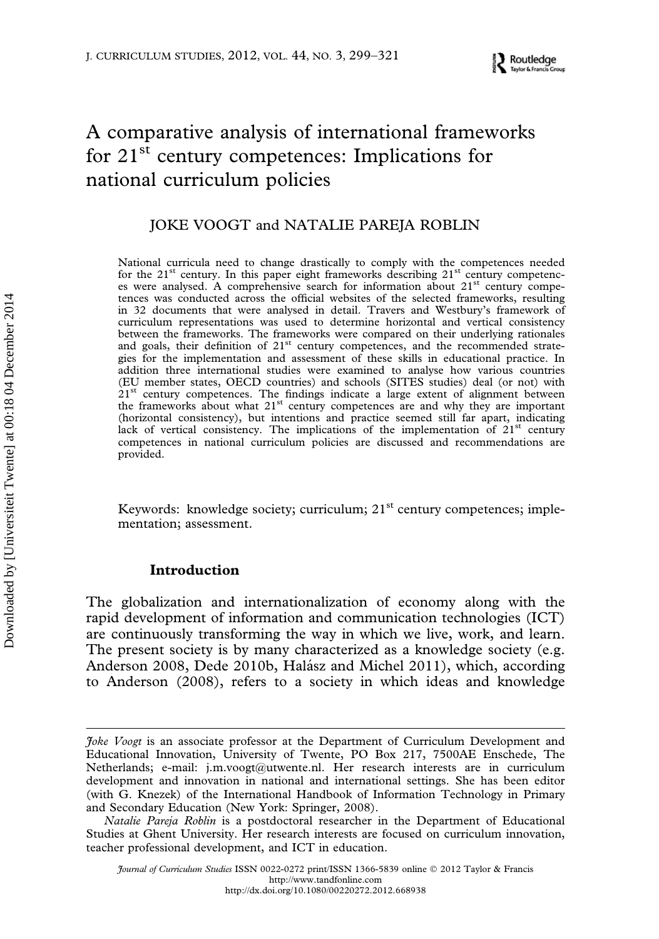# A comparative analysis of international frameworks for 21<sup>st</sup> century competences: Implications for national curriculum policies

## JOKE VOOGT and NATALIE PAREJA ROBLIN

National curricula need to change drastically to comply with the competences needed for the  $21<sup>st</sup>$  century. In this paper eight frameworks describing  $21<sup>st</sup>$  century competences were analysed. A comprehensive search for information about 21<sup>st</sup> century competences was conducted across the official websites of the selected frameworks, resulting in 32 documents that were analysed in detail. Travers and Westbury's framework of curriculum representations was used to determine horizontal and vertical consistency between the frameworks. The frameworks were compared on their underlying rationales and goals, their definition of 21<sup>st</sup> century competences, and the recommended strategies for the implementation and assessment of these skills in educational practice. In addition three international studies were examined to analyse how various countries (EU member states, OECD countries) and schools (SITES studies) deal (or not) with  $21<sup>st</sup>$  century competences. The findings indicate a large extent of alignment between the frameworks about what  $21<sup>st</sup>$  century competences are and why they are important (horizontal consistency), but intentions and practice seemed still far apart, indicating lack of vertical consistency. The implications of the implementation of  $21<sup>st</sup>$  century competences in national curriculum policies are discussed and recommendations are provided.

Keywords: knowledge society; curriculum; 21<sup>st</sup> century competences; implementation; assessment.

## Introduction

Downloaded by [Universiteit Twente] at 00:18 04 December 2014

The globalization and internationalization of economy along with the rapid development of information and communication technologies (ICT) are continuously transforming the way in which we live, work, and learn. The present society is by many characterized as a knowledge society (e.g. Anderson 2008, Dede 2010b, Halász and Michel 2011), which, according to Anderson (2008), refers to a society in which ideas and knowledge

Joke Voogt is an associate professor at the Department of Curriculum Development and Educational Innovation, University of Twente, PO Box 217, 7500AE Enschede, The Netherlands; e-mail: j.m.voogt@utwente.nl. Her research interests are in curriculum development and innovation in national and international settings. She has been editor (with G. Knezek) of the International Handbook of Information Technology in Primary and Secondary Education (New York: Springer, 2008).

Natalie Pareja Roblin is a postdoctoral researcher in the Department of Educational Studies at Ghent University. Her research interests are focused on curriculum innovation, teacher professional development, and ICT in education.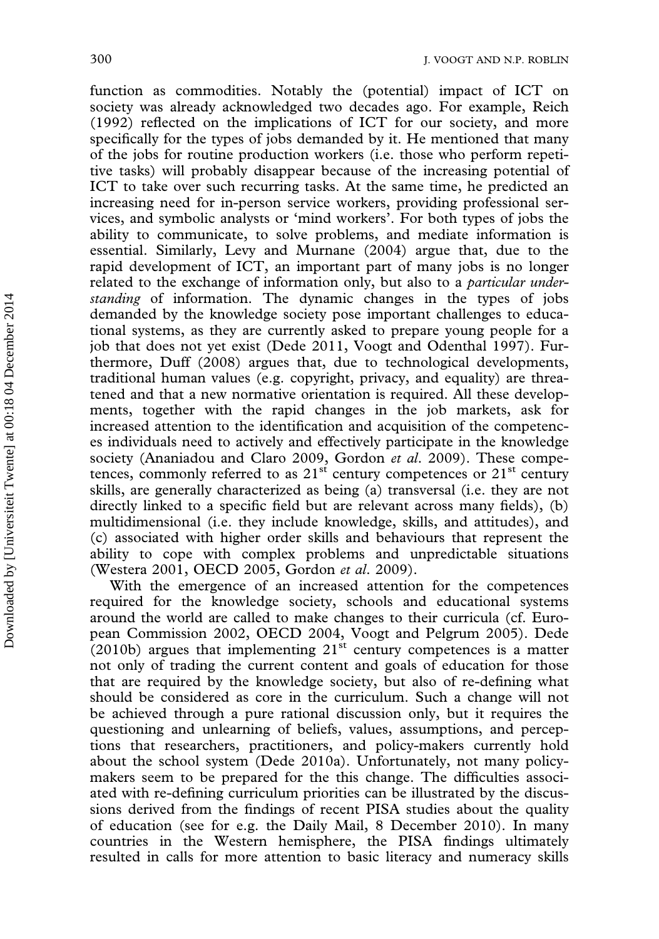function as commodities. Notably the (potential) impact of ICT on society was already acknowledged two decades ago. For example, Reich (1992) reflected on the implications of ICT for our society, and more specifically for the types of jobs demanded by it. He mentioned that many of the jobs for routine production workers (i.e. those who perform repetitive tasks) will probably disappear because of the increasing potential of ICT to take over such recurring tasks. At the same time, he predicted an increasing need for in-person service workers, providing professional services, and symbolic analysts or 'mind workers'. For both types of jobs the ability to communicate, to solve problems, and mediate information is essential. Similarly, Levy and Murnane (2004) argue that, due to the rapid development of ICT, an important part of many jobs is no longer related to the exchange of information only, but also to a *particular under*standing of information. The dynamic changes in the types of jobs demanded by the knowledge society pose important challenges to educational systems, as they are currently asked to prepare young people for a job that does not yet exist (Dede 2011, Voogt and Odenthal 1997). Furthermore, Duff (2008) argues that, due to technological developments, traditional human values (e.g. copyright, privacy, and equality) are threatened and that a new normative orientation is required. All these developments, together with the rapid changes in the job markets, ask for increased attention to the identification and acquisition of the competences individuals need to actively and effectively participate in the knowledge society (Ananiadou and Claro 2009, Gordon et al. 2009). These competences, commonly referred to as  $21<sup>st</sup>$  century competences or  $21<sup>st</sup>$  century skills, are generally characterized as being (a) transversal (i.e. they are not directly linked to a specific field but are relevant across many fields), (b) multidimensional (i.e. they include knowledge, skills, and attitudes), and (c) associated with higher order skills and behaviours that represent the ability to cope with complex problems and unpredictable situations (Westera 2001, OECD 2005, Gordon et al. 2009).

With the emergence of an increased attention for the competences required for the knowledge society, schools and educational systems around the world are called to make changes to their curricula (cf. European Commission 2002, OECD 2004, Voogt and Pelgrum 2005). Dede  $(2010b)$  argues that implementing  $21<sup>st</sup>$  century competences is a matter not only of trading the current content and goals of education for those that are required by the knowledge society, but also of re-defining what should be considered as core in the curriculum. Such a change will not be achieved through a pure rational discussion only, but it requires the questioning and unlearning of beliefs, values, assumptions, and perceptions that researchers, practitioners, and policy-makers currently hold about the school system (Dede 2010a). Unfortunately, not many policymakers seem to be prepared for the this change. The difficulties associated with re-defining curriculum priorities can be illustrated by the discussions derived from the findings of recent PISA studies about the quality of education (see for e.g. the Daily Mail, 8 December 2010). In many countries in the Western hemisphere, the PISA findings ultimately resulted in calls for more attention to basic literacy and numeracy skills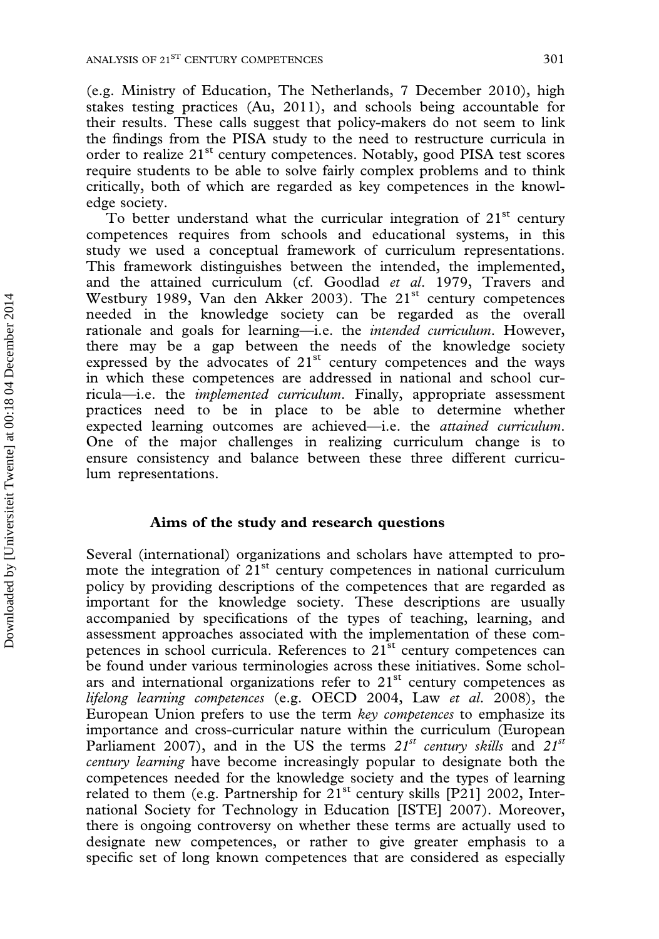(e.g. Ministry of Education, The Netherlands, 7 December 2010), high stakes testing practices (Au, 2011), and schools being accountable for their results. These calls suggest that policy-makers do not seem to link the findings from the PISA study to the need to restructure curricula in order to realize 21<sup>st</sup> century competences. Notably, good PISA test scores require students to be able to solve fairly complex problems and to think critically, both of which are regarded as key competences in the knowledge society.

To better understand what the curricular integration of  $21<sup>st</sup>$  century competences requires from schools and educational systems, in this study we used a conceptual framework of curriculum representations. This framework distinguishes between the intended, the implemented, and the attained curriculum (cf. Goodlad et al. 1979, Travers and Westbury 1989, Van den Akker 2003). The 21<sup>st</sup> century competences needed in the knowledge society can be regarded as the overall rationale and goals for learning—i.e. the intended curriculum. However, there may be a gap between the needs of the knowledge society expressed by the advocates of  $21<sup>st</sup>$  century competences and the ways in which these competences are addressed in national and school curricula—i.e. the implemented curriculum. Finally, appropriate assessment practices need to be in place to be able to determine whether expected learning outcomes are achieved—i.e. the attained curriculum. One of the major challenges in realizing curriculum change is to ensure consistency and balance between these three different curriculum representations.

## Aims of the study and research questions

Several (international) organizations and scholars have attempted to promote the integration of  $21<sup>st</sup>$  century competences in national curriculum policy by providing descriptions of the competences that are regarded as important for the knowledge society. These descriptions are usually accompanied by specifications of the types of teaching, learning, and assessment approaches associated with the implementation of these competences in school curricula. References to  $21^{st}$  century competences can be found under various terminologies across these initiatives. Some scholars and international organizations refer to  $21<sup>st</sup>$  century competences as lifelong learning competences (e.g. OECD 2004, Law et al. 2008), the European Union prefers to use the term key competences to emphasize its importance and cross-curricular nature within the curriculum (European Parliament 2007), and in the US the terms  $21^{st}$  century skills and  $21^{st}$ century learning have become increasingly popular to designate both the competences needed for the knowledge society and the types of learning related to them (e.g. Partnership for  $21<sup>st</sup>$  century skills [P21] 2002, International Society for Technology in Education [ISTE] 2007). Moreover, there is ongoing controversy on whether these terms are actually used to designate new competences, or rather to give greater emphasis to a specific set of long known competences that are considered as especially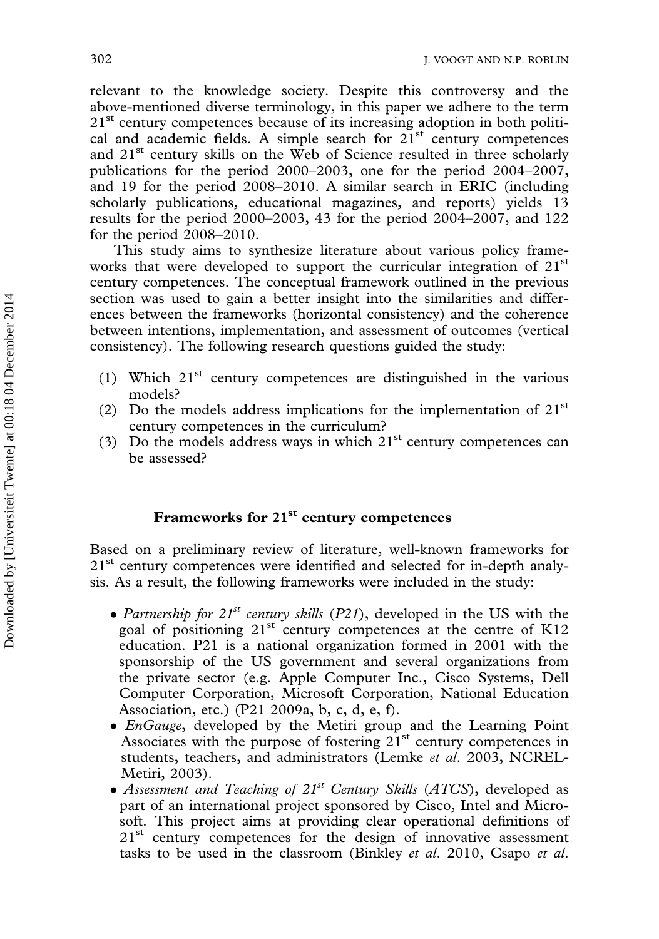relevant to the knowledge society. Despite this controversy and the above-mentioned diverse terminology, in this paper we adhere to the term 21<sup>st</sup> century competences because of its increasing adoption in both political and academic fields. A simple search for  $21<sup>st</sup>$  century competences and  $21<sup>st</sup>$  century skills on the Web of Science resulted in three scholarly publications for the period 2000–2003, one for the period 2004–2007, and 19 for the period 2008–2010. A similar search in ERIC (including scholarly publications, educational magazines, and reports) yields 13 results for the period 2000–2003, 43 for the period 2004–2007, and 122 for the period 2008–2010.

This study aims to synthesize literature about various policy frameworks that were developed to support the curricular integration of 21<sup>st</sup> century competences. The conceptual framework outlined in the previous section was used to gain a better insight into the similarities and differences between the frameworks (horizontal consistency) and the coherence between intentions, implementation, and assessment of outcomes (vertical consistency). The following research questions guided the study:

- (1) Which  $21<sup>st</sup>$  century competences are distinguished in the various models?
- (2) Do the models address implications for the implementation of  $21<sup>st</sup>$ century competences in the curriculum?
- (3) Do the models address ways in which  $21<sup>st</sup>$  century competences can be assessed?

## Frameworks for 21<sup>st</sup> century competences

Based on a preliminary review of literature, well-known frameworks for 21<sup>st</sup> century competences were identified and selected for in-depth analysis. As a result, the following frameworks were included in the study:

- Partnership for  $21^{st}$  century skills (P21), developed in the US with the goal of positioning  $21^{st}$  century competences at the centre of K12 education. P21 is a national organization formed in 2001 with the sponsorship of the US government and several organizations from the private sector (e.g. Apple Computer Inc., Cisco Systems, Dell Computer Corporation, Microsoft Corporation, National Education Association, etc.) (P21 2009a, b, c, d, e, f).
- *EnGauge*, developed by the Metiri group and the Learning Point Associates with the purpose of fostering  $21<sup>st</sup>$  century competences in students, teachers, and administrators (Lemke et al. 2003, NCREL-Metiri, 2003).
- Assessment and Teaching of  $21^{st}$  Century Skills (ATCS), developed as part of an international project sponsored by Cisco, Intel and Microsoft. This project aims at providing clear operational definitions of  $21<sup>st</sup>$  century competences for the design of innovative assessment tasks to be used in the classroom (Binkley et al. 2010, Csapo et al.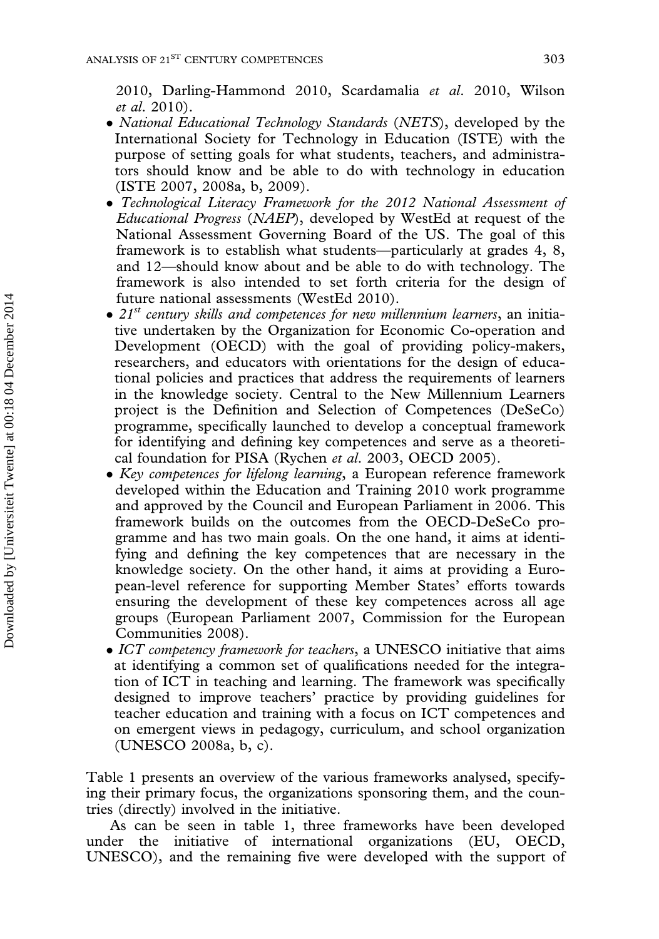2010, Darling-Hammond 2010, Scardamalia et al. 2010, Wilson et al. 2010).

- National Educational Technology Standards (NETS), developed by the International Society for Technology in Education (ISTE) with the purpose of setting goals for what students, teachers, and administrators should know and be able to do with technology in education (ISTE 2007, 2008a, b, 2009).
- Technological Literacy Framework for the 2012 National Assessment of Educational Progress (NAEP), developed by WestEd at request of the National Assessment Governing Board of the US. The goal of this framework is to establish what students—particularly at grades 4, 8, and 12—should know about and be able to do with technology. The framework is also intended to set forth criteria for the design of future national assessments (WestEd 2010).
- $\bullet$  21<sup>st</sup> century skills and competences for new millennium learners, an initiative undertaken by the Organization for Economic Co-operation and Development (OECD) with the goal of providing policy-makers, researchers, and educators with orientations for the design of educational policies and practices that address the requirements of learners in the knowledge society. Central to the New Millennium Learners project is the Definition and Selection of Competences (DeSeCo) programme, specifically launched to develop a conceptual framework for identifying and defining key competences and serve as a theoretical foundation for PISA (Rychen et al. 2003, OECD 2005).
- Key competences for lifelong learning, a European reference framework developed within the Education and Training 2010 work programme and approved by the Council and European Parliament in 2006. This framework builds on the outcomes from the OECD-DeSeCo programme and has two main goals. On the one hand, it aims at identifying and defining the key competences that are necessary in the knowledge society. On the other hand, it aims at providing a European-level reference for supporting Member States' efforts towards ensuring the development of these key competences across all age groups (European Parliament 2007, Commission for the European Communities 2008).
- ICT competency framework for teachers, a UNESCO initiative that aims at identifying a common set of qualifications needed for the integration of ICT in teaching and learning. The framework was specifically designed to improve teachers' practice by providing guidelines for teacher education and training with a focus on ICT competences and on emergent views in pedagogy, curriculum, and school organization (UNESCO 2008a, b, c).

Table 1 presents an overview of the various frameworks analysed, specifying their primary focus, the organizations sponsoring them, and the countries (directly) involved in the initiative.

As can be seen in table 1, three frameworks have been developed under the initiative of international organizations (EU, OECD, UNESCO), and the remaining five were developed with the support of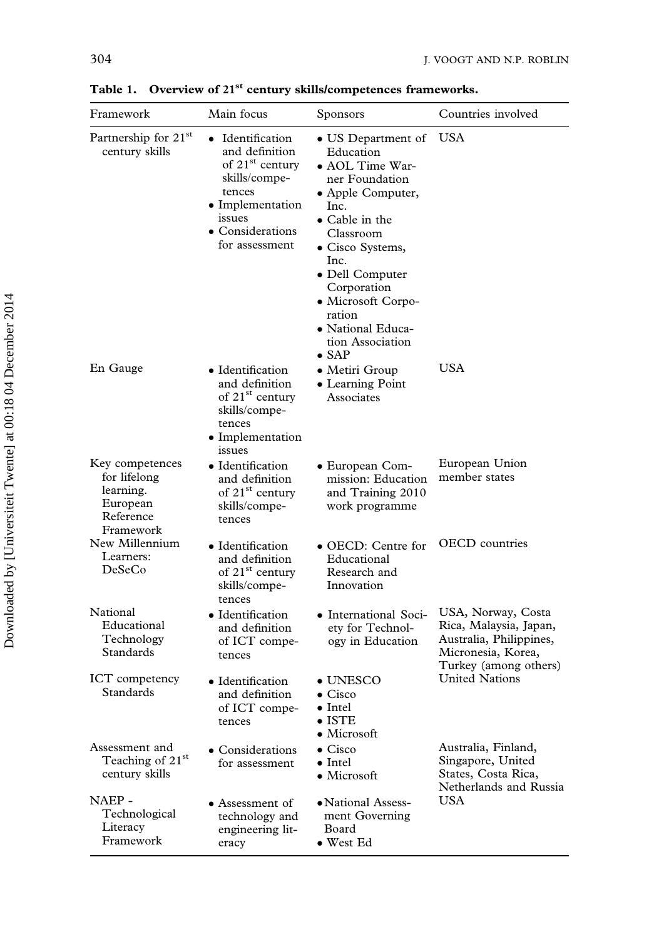| Framework                                                                          | Main focus                                                                                                                                                       | <b>Sponsors</b>                                                                                                                                                                                                                                                                          | Countries involved                                                                                                     |
|------------------------------------------------------------------------------------|------------------------------------------------------------------------------------------------------------------------------------------------------------------|------------------------------------------------------------------------------------------------------------------------------------------------------------------------------------------------------------------------------------------------------------------------------------------|------------------------------------------------------------------------------------------------------------------------|
| Partnership for 21st<br>century skills                                             | • Identification<br>and definition<br>of 21 <sup>st</sup> century<br>skills/compe-<br>tences<br>• Implementation<br>issues<br>• Considerations<br>for assessment | • US Department of<br>Education<br>• AOL Time War-<br>ner Foundation<br>• Apple Computer,<br>Inc.<br>• Cable in the<br>Classroom<br>· Cisco Systems,<br>Inc.<br>· Dell Computer<br>Corporation<br>• Microsoft Corpo-<br>ration<br>• National Educa-<br>tion Association<br>$\bullet$ SAP | USA                                                                                                                    |
| En Gauge                                                                           | • Identification<br>and definition<br>of 21 <sup>st</sup> century<br>skills/compe-<br>tences<br>• Implementation<br>issues                                       | • Metiri Group<br>• Learning Point<br>Associates                                                                                                                                                                                                                                         | USA                                                                                                                    |
| Key competences<br>for lifelong<br>learning.<br>European<br>Reference<br>Framework | • Identification<br>and definition<br>of 21 <sup>st</sup> century<br>skills/compe-<br>tences                                                                     | • European Com-<br>mission: Education<br>and Training 2010<br>work programme                                                                                                                                                                                                             | European Union<br>member states                                                                                        |
| New Millennium<br>Learners:<br>DeSeCo                                              | • Identification<br>and definition<br>of 21 <sup>st</sup> century<br>skills/compe-<br>tences                                                                     | • OECD: Centre for<br>Educational<br>Research and<br>Innovation                                                                                                                                                                                                                          | <b>OECD</b> countries                                                                                                  |
| National<br>Educational<br>Technology<br>Standards                                 | • Identification<br>and definition<br>of ICT compe-<br>tences                                                                                                    | • International Soci-<br>ety for Technol-<br>ogy in Education                                                                                                                                                                                                                            | USA, Norway, Costa<br>Rica, Malaysia, Japan,<br>Australia, Philippines,<br>Micronesia, Korea,<br>Turkey (among others) |
| <b>ICT</b> competency<br>Standards                                                 | • Identification<br>and definition<br>of ICT compe-<br>tences                                                                                                    | $\bullet$ UNESCO<br>$\bullet$ Cisco<br>$\bullet$ Intel<br>$\bullet$ ISTE<br>• Microsoft                                                                                                                                                                                                  | <b>United Nations</b>                                                                                                  |
| Assessment and<br>Teaching of 21st<br>century skills                               | • Considerations<br>for assessment                                                                                                                               | $\bullet$ Cisco<br>$\bullet$ Intel<br>$\bullet$ Microsoft                                                                                                                                                                                                                                | Australia, Finland,<br>Singapore, United<br>States, Costa Rica,<br>Netherlands and Russia                              |
| NAEP -<br>Technological<br>Literacy<br>Framework                                   | • Assessment of<br>technology and<br>engineering lit-<br>eracy                                                                                                   | • National Assess-<br>ment Governing<br>Board<br>• West Ed                                                                                                                                                                                                                               | USA                                                                                                                    |

Table 1. Overview of 21<sup>st</sup> century skills/competences frameworks.

ı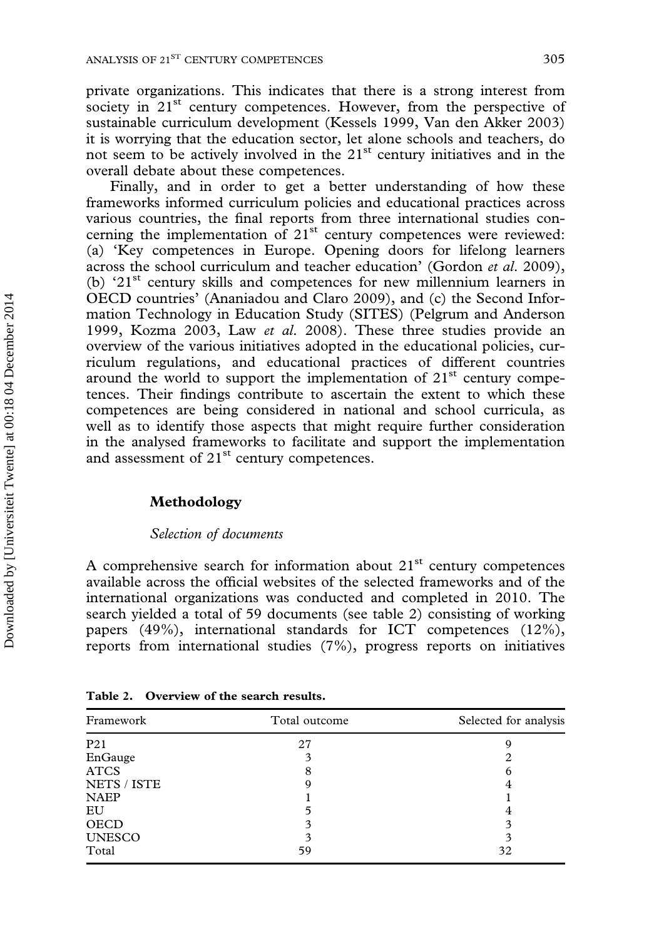private organizations. This indicates that there is a strong interest from society in 21<sup>st</sup> century competences. However, from the perspective of sustainable curriculum development (Kessels 1999, Van den Akker 2003) it is worrying that the education sector, let alone schools and teachers, do not seem to be actively involved in the  $21<sup>st</sup>$  century initiatives and in the overall debate about these competences.

Finally, and in order to get a better understanding of how these frameworks informed curriculum policies and educational practices across various countries, the final reports from three international studies concerning the implementation of  $21<sup>st</sup>$  century competences were reviewed: (a) 'Key competences in Europe. Opening doors for lifelong learners across the school curriculum and teacher education' (Gordon et al. 2009), (b) '21st century skills and competences for new millennium learners in OECD countries' (Ananiadou and Claro 2009), and (c) the Second Information Technology in Education Study (SITES) (Pelgrum and Anderson 1999, Kozma 2003, Law et al. 2008). These three studies provide an overview of the various initiatives adopted in the educational policies, curriculum regulations, and educational practices of different countries around the world to support the implementation of  $21<sup>st</sup>$  century competences. Their findings contribute to ascertain the extent to which these competences are being considered in national and school curricula, as well as to identify those aspects that might require further consideration in the analysed frameworks to facilitate and support the implementation and assessment of  $21<sup>st</sup>$  century competences.

#### Methodology

Downloaded by [Universiteit Twente] at 00:18 04 December 2014

#### Selection of documents

A comprehensive search for information about  $21<sup>st</sup>$  century competences available across the official websites of the selected frameworks and of the international organizations was conducted and completed in 2010. The search yielded a total of 59 documents (see table 2) consisting of working papers (49%), international standards for ICT competences (12%), reports from international studies (7%), progress reports on initiatives

| Framework       | Total outcome | Selected for analysis |  |
|-----------------|---------------|-----------------------|--|
| P <sub>21</sub> | 27            |                       |  |
| EnGauge         |               |                       |  |
| <b>ATCS</b>     | 8             |                       |  |
| NETS / ISTE     |               |                       |  |
| <b>NAEP</b>     |               |                       |  |
| EU              |               |                       |  |
| <b>OECD</b>     | 3             |                       |  |
| <b>UNESCO</b>   | 3             |                       |  |
| Total           | 59            | 32                    |  |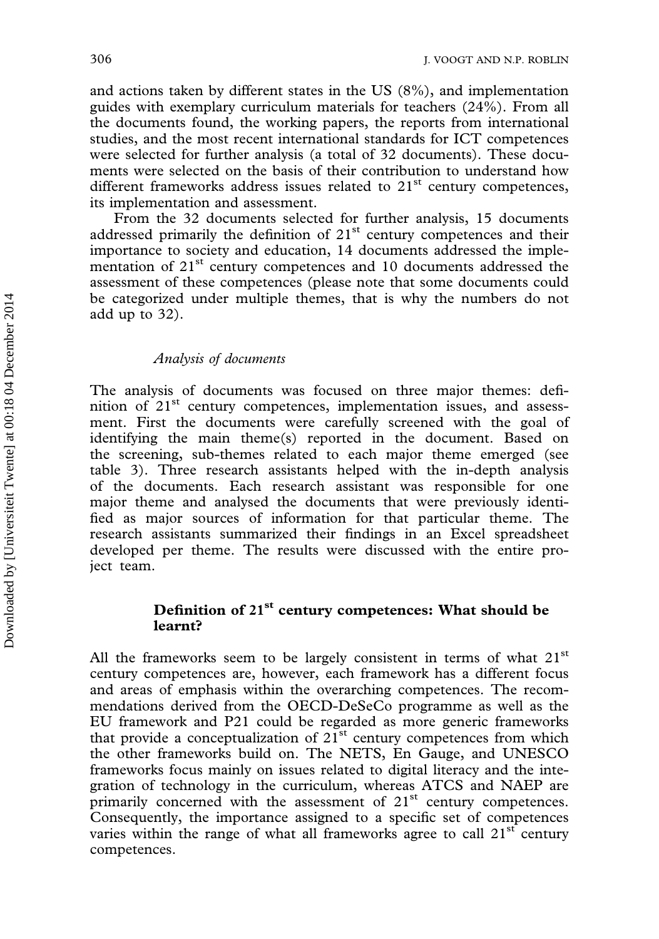and actions taken by different states in the US (8%), and implementation guides with exemplary curriculum materials for teachers (24%). From all the documents found, the working papers, the reports from international studies, and the most recent international standards for ICT competences were selected for further analysis (a total of 32 documents). These documents were selected on the basis of their contribution to understand how different frameworks address issues related to  $21<sup>st</sup>$  century competences, its implementation and assessment.

From the 32 documents selected for further analysis, 15 documents addressed primarily the definition of  $21<sup>st</sup>$  century competences and their importance to society and education, 14 documents addressed the implementation of 21<sup>st</sup> century competences and 10 documents addressed the assessment of these competences (please note that some documents could be categorized under multiple themes, that is why the numbers do not add up to 32).

#### Analysis of documents

The analysis of documents was focused on three major themes: definition of  $21<sup>st</sup>$  century competences, implementation issues, and assessment. First the documents were carefully screened with the goal of identifying the main theme(s) reported in the document. Based on the screening, sub-themes related to each major theme emerged (see table 3). Three research assistants helped with the in-depth analysis of the documents. Each research assistant was responsible for one major theme and analysed the documents that were previously identified as major sources of information for that particular theme. The research assistants summarized their findings in an Excel spreadsheet developed per theme. The results were discussed with the entire project team.

## Definition of 21<sup>st</sup> century competences: What should be learnt?

All the frameworks seem to be largely consistent in terms of what  $21<sup>st</sup>$ century competences are, however, each framework has a different focus and areas of emphasis within the overarching competences. The recommendations derived from the OECD-DeSeCo programme as well as the EU framework and P21 could be regarded as more generic frameworks that provide a conceptualization of  $21<sup>st</sup>$  century competences from which the other frameworks build on. The NETS, En Gauge, and UNESCO frameworks focus mainly on issues related to digital literacy and the integration of technology in the curriculum, whereas ATCS and NAEP are primarily concerned with the assessment of  $21<sup>st</sup>$  century competences. Consequently, the importance assigned to a specific set of competences varies within the range of what all frameworks agree to call  $21<sup>st</sup>$  century competences.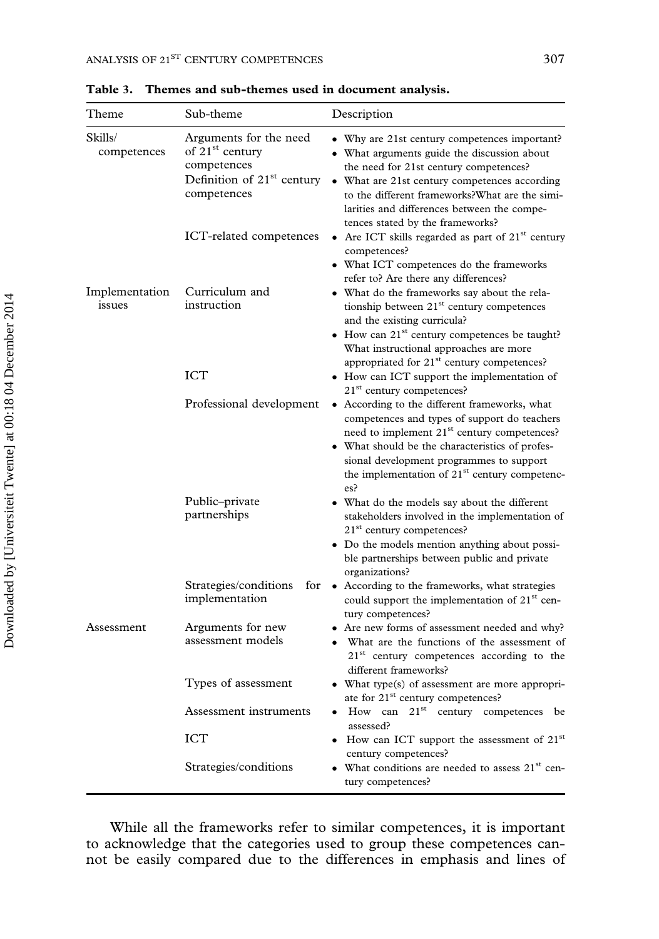| Theme                    | Sub-theme                                                                                                                     | Description                                                                                                                                                                                                                                                                                                                   |
|--------------------------|-------------------------------------------------------------------------------------------------------------------------------|-------------------------------------------------------------------------------------------------------------------------------------------------------------------------------------------------------------------------------------------------------------------------------------------------------------------------------|
| Skills/<br>competences   | Arguments for the need<br>of 21 <sup>st</sup> century<br>competences<br>Definition of 21 <sup>st</sup> century<br>competences | • Why are 21st century competences important?<br>• What arguments guide the discussion about<br>the need for 21st century competences?<br>• What are 21st century competences according<br>to the different frameworks? What are the simi-<br>larities and differences between the compe-<br>tences stated by the frameworks? |
|                          | ICT-related competences                                                                                                       | • Are ICT skills regarded as part of 21 <sup>st</sup> century<br>competences?<br>• What ICT competences do the frameworks<br>refer to? Are there any differences?                                                                                                                                                             |
| Implementation<br>issues | Curriculum and<br>instruction                                                                                                 | • What do the frameworks say about the rela-<br>tionship between 21 <sup>st</sup> century competences<br>and the existing curricula?<br>$\bullet$ How can 21 <sup>st</sup> century competences be taught?<br>What instructional approaches are more<br>appropriated for 21 <sup>st</sup> century competences?                 |
|                          | <b>ICT</b>                                                                                                                    | • How can ICT support the implementation of<br>21 <sup>st</sup> century competences?                                                                                                                                                                                                                                          |
|                          | Professional development                                                                                                      | • According to the different frameworks, what<br>competences and types of support do teachers<br>need to implement 21 <sup>st</sup> century competences?<br>• What should be the characteristics of profes-<br>sional development programmes to support<br>the implementation of 21 <sup>st</sup> century competenc-<br>es?   |
|                          | Public-private<br>partnerships                                                                                                | • What do the models say about the different<br>stakeholders involved in the implementation of<br>21 <sup>st</sup> century competences?<br>• Do the models mention anything about possi-<br>ble partnerships between public and private<br>organizations?                                                                     |
|                          | Strategies/conditions<br>for<br>implementation                                                                                | • According to the frameworks, what strategies<br>could support the implementation of 21 <sup>st</sup> cen-<br>tury competences?                                                                                                                                                                                              |
| Assessment               | Arguments for new<br>assessment models                                                                                        | • Are new forms of assessment needed and why?<br>• What are the functions of the assessment of<br>21 <sup>st</sup> century competences according to the<br>different frameworks?                                                                                                                                              |
|                          | Types of assessment                                                                                                           | • What type(s) of assessment are more appropri-<br>ate for 21 <sup>st</sup> century competences?                                                                                                                                                                                                                              |
|                          | Assessment instruments                                                                                                        | $\bullet$ How can $21^{st}$ century competences be<br>assessed?                                                                                                                                                                                                                                                               |
|                          | ICT                                                                                                                           | • How can ICT support the assessment of 21st<br>century competences?                                                                                                                                                                                                                                                          |
|                          | Strategies/conditions                                                                                                         | • What conditions are needed to assess 21 <sup>st</sup> cen-<br>tury competences?                                                                                                                                                                                                                                             |

Table 3. Themes and sub-themes used in document analysis.

While all the frameworks refer to similar competences, it is important to acknowledge that the categories used to group these competences cannot be easily compared due to the differences in emphasis and lines of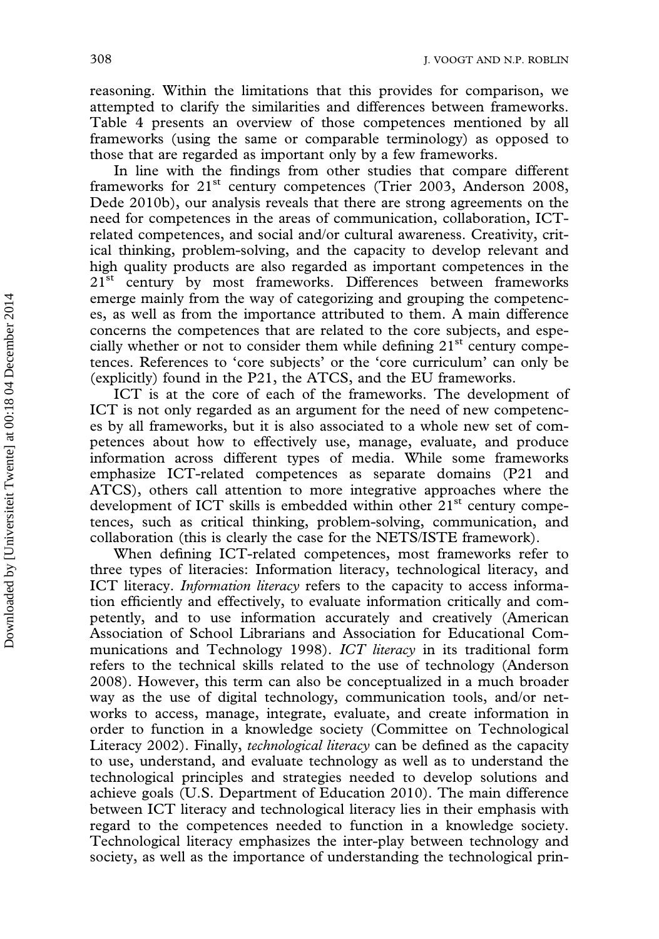reasoning. Within the limitations that this provides for comparison, we attempted to clarify the similarities and differences between frameworks. Table 4 presents an overview of those competences mentioned by all frameworks (using the same or comparable terminology) as opposed to those that are regarded as important only by a few frameworks.

In line with the findings from other studies that compare different frameworks for 21<sup>st</sup> century competences (Trier 2003, Anderson 2008, Dede 2010b), our analysis reveals that there are strong agreements on the need for competences in the areas of communication, collaboration, ICTrelated competences, and social and/or cultural awareness. Creativity, critical thinking, problem-solving, and the capacity to develop relevant and high quality products are also regarded as important competences in the 21<sup>st</sup> century by most frameworks. Differences between frameworks emerge mainly from the way of categorizing and grouping the competences, as well as from the importance attributed to them. A main difference concerns the competences that are related to the core subjects, and especially whether or not to consider them while defining  $21<sup>st</sup>$  century competences. References to 'core subjects' or the 'core curriculum' can only be (explicitly) found in the P21, the ATCS, and the EU frameworks.

ICT is at the core of each of the frameworks. The development of ICT is not only regarded as an argument for the need of new competences by all frameworks, but it is also associated to a whole new set of competences about how to effectively use, manage, evaluate, and produce information across different types of media. While some frameworks emphasize ICT-related competences as separate domains (P21 and ATCS), others call attention to more integrative approaches where the development of ICT skills is embedded within other 21<sup>st</sup> century competences, such as critical thinking, problem-solving, communication, and collaboration (this is clearly the case for the NETS/ISTE framework).

When defining ICT-related competences, most frameworks refer to three types of literacies: Information literacy, technological literacy, and ICT literacy. Information literacy refers to the capacity to access information efficiently and effectively, to evaluate information critically and competently, and to use information accurately and creatively (American Association of School Librarians and Association for Educational Communications and Technology 1998). ICT literacy in its traditional form refers to the technical skills related to the use of technology (Anderson 2008). However, this term can also be conceptualized in a much broader way as the use of digital technology, communication tools, and/or networks to access, manage, integrate, evaluate, and create information in order to function in a knowledge society (Committee on Technological Literacy 2002). Finally, *technological literacy* can be defined as the capacity to use, understand, and evaluate technology as well as to understand the technological principles and strategies needed to develop solutions and achieve goals (U.S. Department of Education 2010). The main difference between ICT literacy and technological literacy lies in their emphasis with regard to the competences needed to function in a knowledge society. Technological literacy emphasizes the inter-play between technology and society, as well as the importance of understanding the technological prin-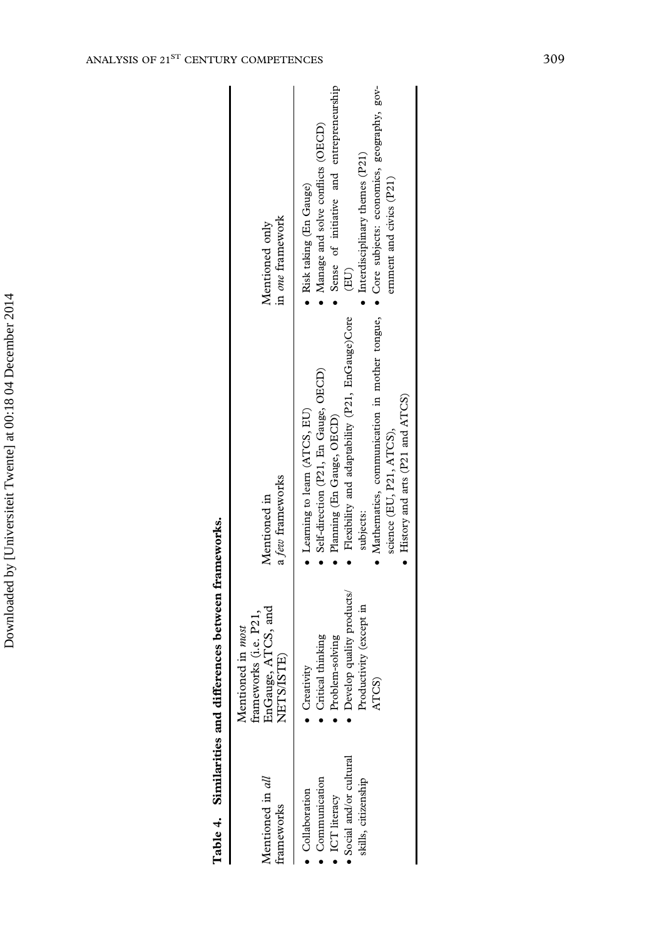| s between fr<br>Table 4. Similarities and difference |  |
|------------------------------------------------------|--|
|                                                      |  |

| ANALYSIS OF 21ST CENTURY COMPETENCES             |                                                                                |                                                                                                                                                                                                                                                                                  | 309 |  |
|--------------------------------------------------|--------------------------------------------------------------------------------|----------------------------------------------------------------------------------------------------------------------------------------------------------------------------------------------------------------------------------------------------------------------------------|-----|--|
|                                                  | in one framework<br>Mentioned only                                             | entrepreneurship<br>Core subjects: economics, geography, gov-<br>Manage and solve conflicts (OECD)<br>Interdisciplinary themes (P21)<br>Sense of initiative and<br>ernment and civics (P21)<br>Risk taking (En Gauge)<br>(EU)<br>$\bullet$                                       |     |  |
|                                                  | a few frameworks<br>Mentioned in                                               | Flexibility and adaptability (P21, EnGauge)Core<br>Mathematics, communication in mother tongue,<br>Self-direction (P21, En Gauge, OECD)<br>History and arts (P21 and ATCS)<br>Learning to learn (ATCS, EU)<br>Planning (En Gauge, OECD)<br>science (EU, P21, ATCS),<br>subjects: |     |  |
| Similarities and differences between frameworks. | EnGauge, ATCS, and<br>NETS/ISTE)<br>frameworks (i.e. P21,<br>Mentioned in most | Develop quality products/<br>Productivity (except in<br>Critical thinking<br>Problem-solving<br>Creativity<br>ATCS)                                                                                                                                                              |     |  |
| Table 4.                                         | Mentioned in all<br>frameworks                                                 | · Social and/or cultural<br>$\bullet$ Communication<br>skills, citizenship<br>· Collaboration<br>$\bullet$ ICT literacy                                                                                                                                                          |     |  |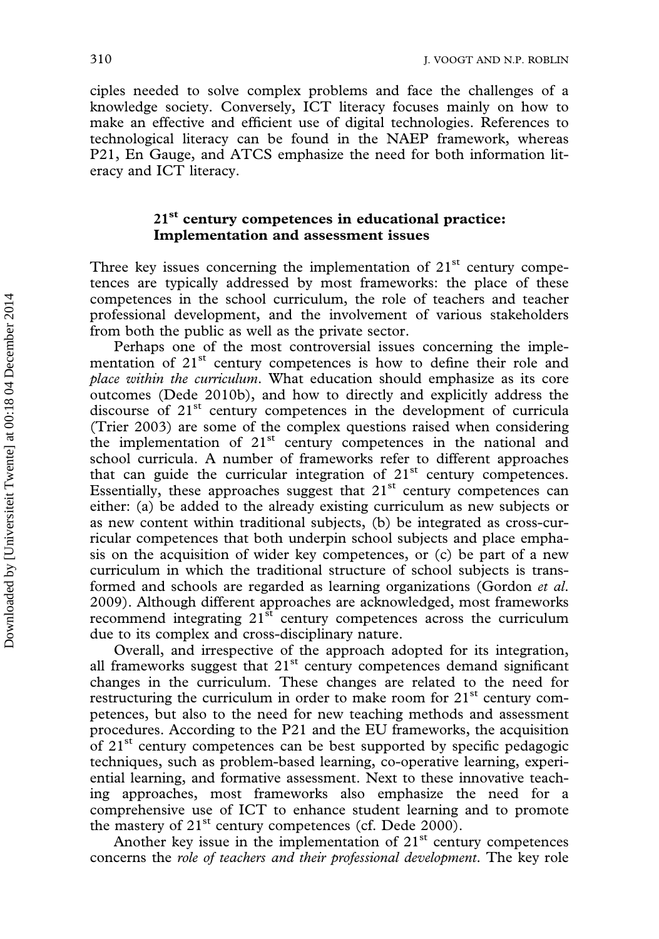ciples needed to solve complex problems and face the challenges of a knowledge society. Conversely, ICT literacy focuses mainly on how to make an effective and efficient use of digital technologies. References to technological literacy can be found in the NAEP framework, whereas P21, En Gauge, and ATCS emphasize the need for both information literacy and ICT literacy.

## 21<sup>st</sup> century competences in educational practice: Implementation and assessment issues

Three key issues concerning the implementation of  $21<sup>st</sup>$  century competences are typically addressed by most frameworks: the place of these competences in the school curriculum, the role of teachers and teacher professional development, and the involvement of various stakeholders from both the public as well as the private sector.

Perhaps one of the most controversial issues concerning the implementation of 21<sup>st</sup> century competences is how to define their role and place within the curriculum. What education should emphasize as its core outcomes (Dede 2010b), and how to directly and explicitly address the discourse of 21<sup>st</sup> century competences in the development of curricula (Trier 2003) are some of the complex questions raised when considering the implementation of  $21<sup>st</sup>$  century competences in the national and school curricula. A number of frameworks refer to different approaches that can guide the curricular integration of  $21<sup>st</sup>$  century competences. Essentially, these approaches suggest that  $21<sup>st</sup>$  century competences can either: (a) be added to the already existing curriculum as new subjects or as new content within traditional subjects, (b) be integrated as cross-curricular competences that both underpin school subjects and place emphasis on the acquisition of wider key competences, or (c) be part of a new curriculum in which the traditional structure of school subjects is transformed and schools are regarded as learning organizations (Gordon et al. 2009). Although different approaches are acknowledged, most frameworks recommend integrating  $21^{st}$  century competences across the curriculum due to its complex and cross-disciplinary nature.

Overall, and irrespective of the approach adopted for its integration, all frameworks suggest that  $21<sup>st</sup>$  century competences demand significant changes in the curriculum. These changes are related to the need for restructuring the curriculum in order to make room for  $21<sup>st</sup>$  century competences, but also to the need for new teaching methods and assessment procedures. According to the P21 and the EU frameworks, the acquisition of 21st century competences can be best supported by specific pedagogic techniques, such as problem-based learning, co-operative learning, experiential learning, and formative assessment. Next to these innovative teaching approaches, most frameworks also emphasize the need for a comprehensive use of ICT to enhance student learning and to promote the mastery of  $21^{st}$  century competences (cf. Dede 2000).

Another key issue in the implementation of  $21<sup>st</sup>$  century competences concerns the role of teachers and their professional development. The key role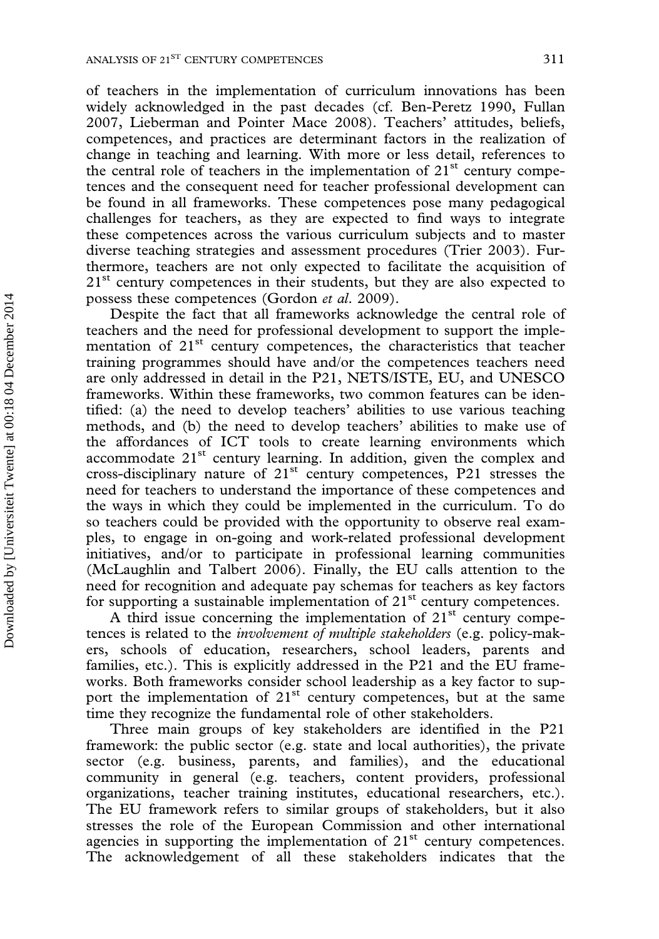of teachers in the implementation of curriculum innovations has been widely acknowledged in the past decades (cf. Ben-Peretz 1990, Fullan 2007, Lieberman and Pointer Mace 2008). Teachers' attitudes, beliefs, competences, and practices are determinant factors in the realization of change in teaching and learning. With more or less detail, references to the central role of teachers in the implementation of  $21<sup>st</sup>$  century competences and the consequent need for teacher professional development can be found in all frameworks. These competences pose many pedagogical challenges for teachers, as they are expected to find ways to integrate these competences across the various curriculum subjects and to master diverse teaching strategies and assessment procedures (Trier 2003). Furthermore, teachers are not only expected to facilitate the acquisition of  $21<sup>st</sup>$  century competences in their students, but they are also expected to possess these competences (Gordon et al. 2009).

Despite the fact that all frameworks acknowledge the central role of teachers and the need for professional development to support the implementation of 21<sup>st</sup> century competences, the characteristics that teacher training programmes should have and/or the competences teachers need are only addressed in detail in the P21, NETS/ISTE, EU, and UNESCO frameworks. Within these frameworks, two common features can be identified: (a) the need to develop teachers' abilities to use various teaching methods, and (b) the need to develop teachers' abilities to make use of the affordances of ICT tools to create learning environments which accommodate  $21<sup>st</sup>$  century learning. In addition, given the complex and cross-disciplinary nature of 21st century competences, P21 stresses the need for teachers to understand the importance of these competences and the ways in which they could be implemented in the curriculum. To do so teachers could be provided with the opportunity to observe real examples, to engage in on-going and work-related professional development initiatives, and/or to participate in professional learning communities (McLaughlin and Talbert 2006). Finally, the EU calls attention to the need for recognition and adequate pay schemas for teachers as key factors for supporting a sustainable implementation of  $21<sup>st</sup>$  century competences.

A third issue concerning the implementation of  $21<sup>st</sup>$  century competences is related to the *involvement of multiple stakeholders* (e.g. policy-makers, schools of education, researchers, school leaders, parents and families, etc.). This is explicitly addressed in the P21 and the EU frameworks. Both frameworks consider school leadership as a key factor to support the implementation of  $21<sup>st</sup>$  century competences, but at the same time they recognize the fundamental role of other stakeholders.

Three main groups of key stakeholders are identified in the P21 framework: the public sector (e.g. state and local authorities), the private sector (e.g. business, parents, and families), and the educational community in general (e.g. teachers, content providers, professional organizations, teacher training institutes, educational researchers, etc.). The EU framework refers to similar groups of stakeholders, but it also stresses the role of the European Commission and other international agencies in supporting the implementation of  $21<sup>st</sup>$  century competences. The acknowledgement of all these stakeholders indicates that the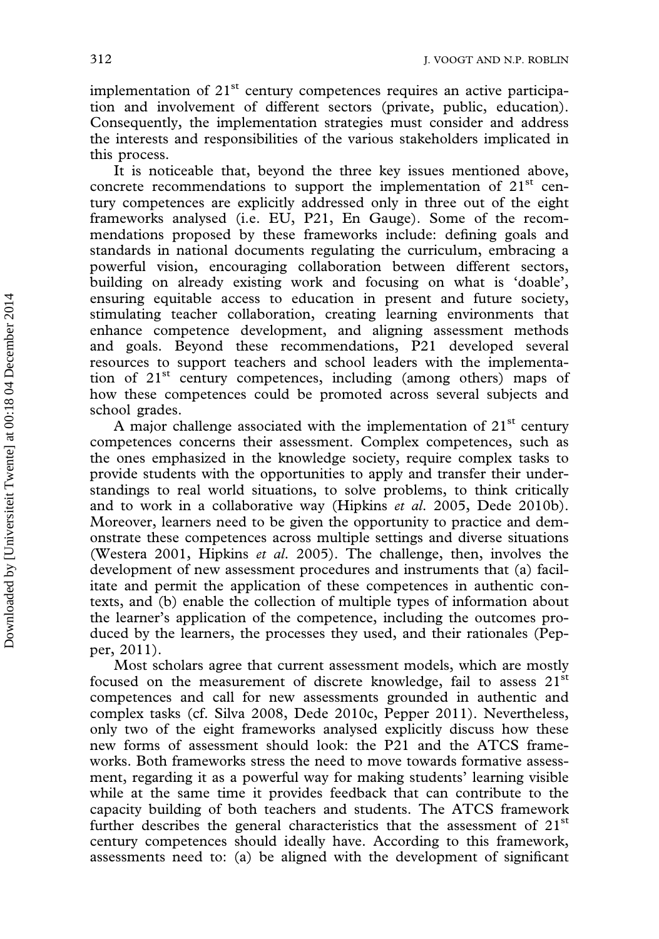implementation of 21<sup>st</sup> century competences requires an active participation and involvement of different sectors (private, public, education). Consequently, the implementation strategies must consider and address the interests and responsibilities of the various stakeholders implicated in this process.

It is noticeable that, beyond the three key issues mentioned above, concrete recommendations to support the implementation of  $21<sup>st</sup>$  century competences are explicitly addressed only in three out of the eight frameworks analysed (i.e. EU, P21, En Gauge). Some of the recommendations proposed by these frameworks include: defining goals and standards in national documents regulating the curriculum, embracing a powerful vision, encouraging collaboration between different sectors, building on already existing work and focusing on what is 'doable', ensuring equitable access to education in present and future society, stimulating teacher collaboration, creating learning environments that enhance competence development, and aligning assessment methods and goals. Beyond these recommendations, P21 developed several resources to support teachers and school leaders with the implementation of 21<sup>st</sup> century competences, including (among others) maps of how these competences could be promoted across several subjects and school grades.

A major challenge associated with the implementation of  $21<sup>st</sup>$  century competences concerns their assessment. Complex competences, such as the ones emphasized in the knowledge society, require complex tasks to provide students with the opportunities to apply and transfer their understandings to real world situations, to solve problems, to think critically and to work in a collaborative way (Hipkins et al. 2005, Dede 2010b). Moreover, learners need to be given the opportunity to practice and demonstrate these competences across multiple settings and diverse situations (Westera 2001, Hipkins et al. 2005). The challenge, then, involves the development of new assessment procedures and instruments that (a) facilitate and permit the application of these competences in authentic contexts, and (b) enable the collection of multiple types of information about the learner's application of the competence, including the outcomes produced by the learners, the processes they used, and their rationales (Pepper, 2011).

Most scholars agree that current assessment models, which are mostly focused on the measurement of discrete knowledge, fail to assess  $21<sup>st</sup>$ competences and call for new assessments grounded in authentic and complex tasks (cf. Silva 2008, Dede 2010c, Pepper 2011). Nevertheless, only two of the eight frameworks analysed explicitly discuss how these new forms of assessment should look: the P21 and the ATCS frameworks. Both frameworks stress the need to move towards formative assessment, regarding it as a powerful way for making students' learning visible while at the same time it provides feedback that can contribute to the capacity building of both teachers and students. The ATCS framework further describes the general characteristics that the assessment of  $21<sup>st</sup>$ century competences should ideally have. According to this framework, assessments need to: (a) be aligned with the development of significant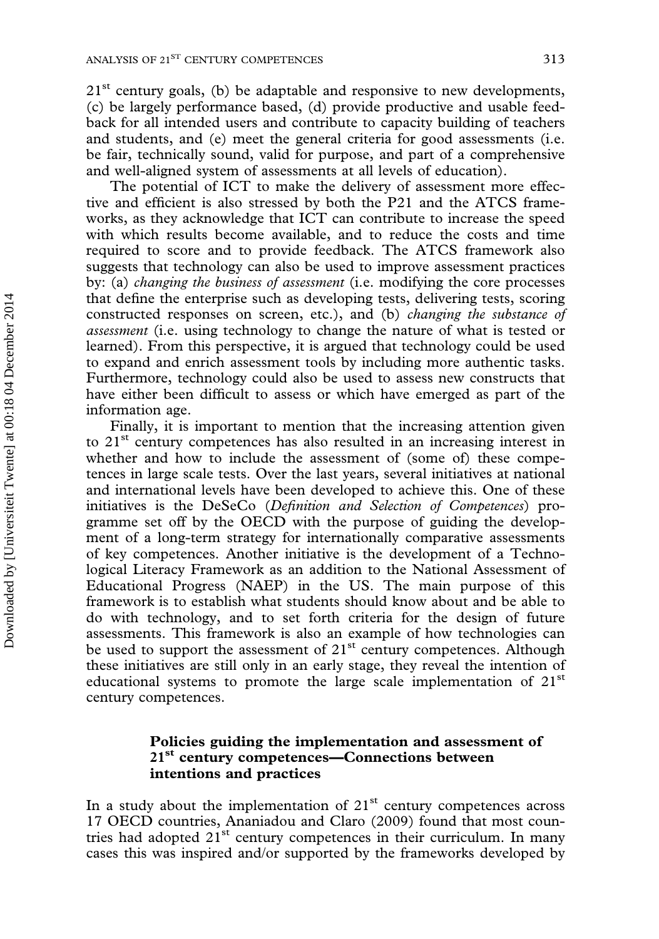21<sup>st</sup> century goals, (b) be adaptable and responsive to new developments, (c) be largely performance based, (d) provide productive and usable feedback for all intended users and contribute to capacity building of teachers and students, and (e) meet the general criteria for good assessments (i.e. be fair, technically sound, valid for purpose, and part of a comprehensive and well-aligned system of assessments at all levels of education).

The potential of ICT to make the delivery of assessment more effective and efficient is also stressed by both the P21 and the ATCS frameworks, as they acknowledge that ICT can contribute to increase the speed with which results become available, and to reduce the costs and time required to score and to provide feedback. The ATCS framework also suggests that technology can also be used to improve assessment practices by: (a) changing the business of assessment (i.e. modifying the core processes that define the enterprise such as developing tests, delivering tests, scoring constructed responses on screen, etc.), and (b) changing the substance of assessment (i.e. using technology to change the nature of what is tested or learned). From this perspective, it is argued that technology could be used to expand and enrich assessment tools by including more authentic tasks. Furthermore, technology could also be used to assess new constructs that have either been difficult to assess or which have emerged as part of the information age.

Finally, it is important to mention that the increasing attention given to 21<sup>st</sup> century competences has also resulted in an increasing interest in whether and how to include the assessment of (some of) these competences in large scale tests. Over the last years, several initiatives at national and international levels have been developed to achieve this. One of these initiatives is the DeSeCo (Definition and Selection of Competences) programme set off by the OECD with the purpose of guiding the development of a long-term strategy for internationally comparative assessments of key competences. Another initiative is the development of a Technological Literacy Framework as an addition to the National Assessment of Educational Progress (NAEP) in the US. The main purpose of this framework is to establish what students should know about and be able to do with technology, and to set forth criteria for the design of future assessments. This framework is also an example of how technologies can be used to support the assessment of 21<sup>st</sup> century competences. Although these initiatives are still only in an early stage, they reveal the intention of educational systems to promote the large scale implementation of 21<sup>st</sup> century competences.

## Policies guiding the implementation and assessment of 21<sup>st</sup> century competences—Connections between intentions and practices

In a study about the implementation of  $21<sup>st</sup>$  century competences across 17 OECD countries, Ananiadou and Claro (2009) found that most countries had adopted  $21<sup>st</sup>$  century competences in their curriculum. In many cases this was inspired and/or supported by the frameworks developed by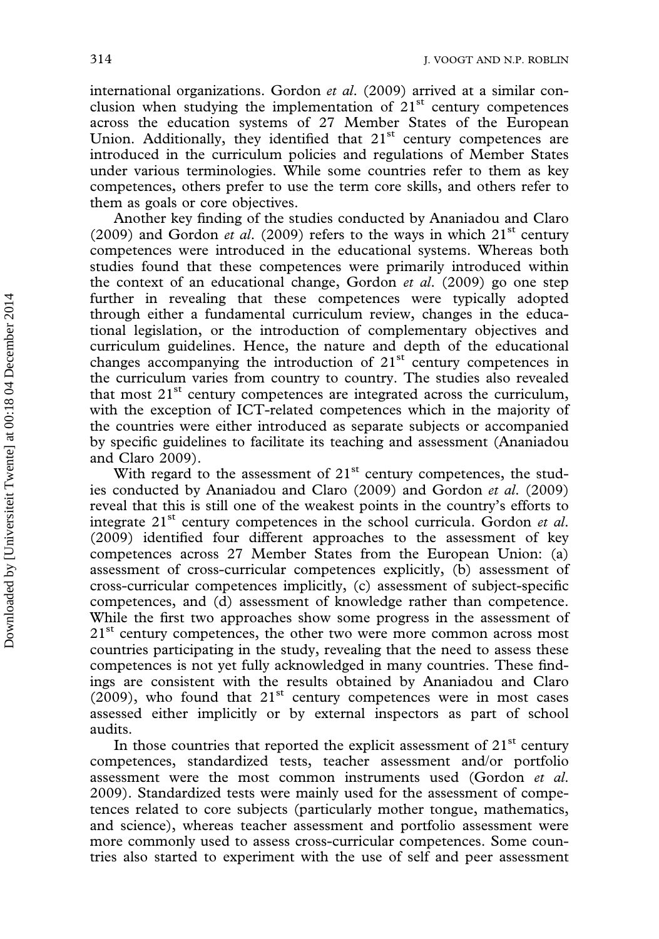international organizations. Gordon et al. (2009) arrived at a similar conclusion when studying the implementation of  $21<sup>st</sup>$  century competences across the education systems of 27 Member States of the European Union. Additionally, they identified that 21<sup>st</sup> century competences are introduced in the curriculum policies and regulations of Member States under various terminologies. While some countries refer to them as key competences, others prefer to use the term core skills, and others refer to them as goals or core objectives.

Another key finding of the studies conducted by Ananiadou and Claro (2009) and Gordon *et al.* (2009) refers to the ways in which  $21<sup>st</sup>$  century competences were introduced in the educational systems. Whereas both studies found that these competences were primarily introduced within the context of an educational change, Gordon et al. (2009) go one step further in revealing that these competences were typically adopted through either a fundamental curriculum review, changes in the educational legislation, or the introduction of complementary objectives and curriculum guidelines. Hence, the nature and depth of the educational changes accompanying the introduction of  $21<sup>st</sup>$  century competences in the curriculum varies from country to country. The studies also revealed that most  $21<sup>st</sup>$  century competences are integrated across the curriculum, with the exception of ICT-related competences which in the majority of the countries were either introduced as separate subjects or accompanied by specific guidelines to facilitate its teaching and assessment (Ananiadou and Claro 2009).

With regard to the assessment of  $21<sup>st</sup>$  century competences, the studies conducted by Ananiadou and Claro (2009) and Gordon et al. (2009) reveal that this is still one of the weakest points in the country's efforts to integrate  $21<sup>st</sup>$  century competences in the school curricula. Gordon *et al.* (2009) identified four different approaches to the assessment of key competences across 27 Member States from the European Union: (a) assessment of cross-curricular competences explicitly, (b) assessment of cross-curricular competences implicitly, (c) assessment of subject-specific competences, and (d) assessment of knowledge rather than competence. While the first two approaches show some progress in the assessment of  $21<sup>st</sup>$  century competences, the other two were more common across most countries participating in the study, revealing that the need to assess these competences is not yet fully acknowledged in many countries. These findings are consistent with the results obtained by Ananiadou and Claro  $(2009)$ , who found that  $21<sup>st</sup>$  century competences were in most cases assessed either implicitly or by external inspectors as part of school audits.

In those countries that reported the explicit assessment of  $21<sup>st</sup>$  century competences, standardized tests, teacher assessment and/or portfolio assessment were the most common instruments used (Gordon et al. 2009). Standardized tests were mainly used for the assessment of competences related to core subjects (particularly mother tongue, mathematics, and science), whereas teacher assessment and portfolio assessment were more commonly used to assess cross-curricular competences. Some countries also started to experiment with the use of self and peer assessment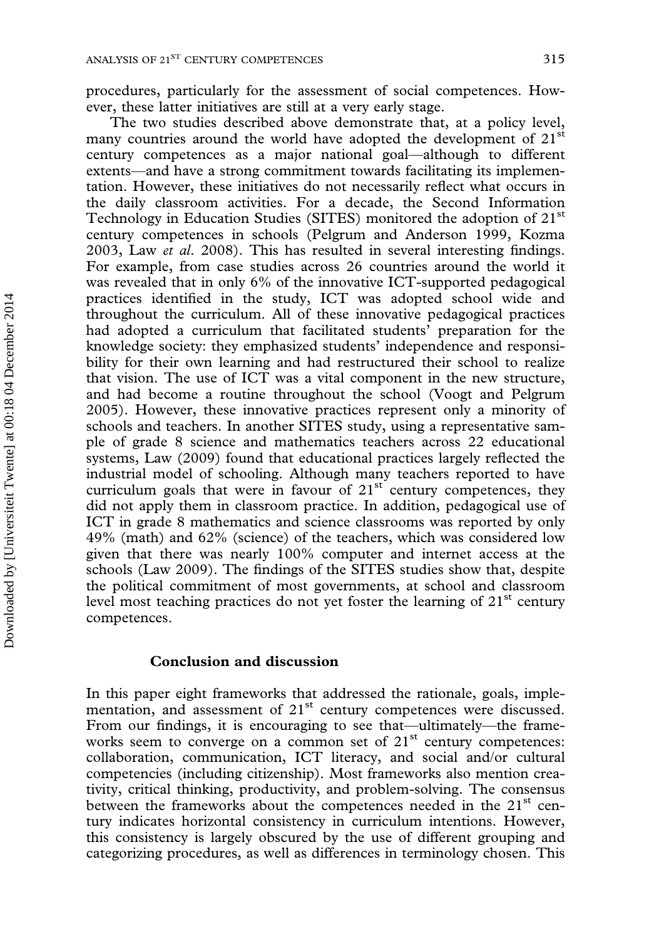procedures, particularly for the assessment of social competences. However, these latter initiatives are still at a very early stage.

The two studies described above demonstrate that, at a policy level, many countries around the world have adopted the development of  $21<sup>st</sup>$ century competences as a major national goal—although to different extents—and have a strong commitment towards facilitating its implementation. However, these initiatives do not necessarily reflect what occurs in the daily classroom activities. For a decade, the Second Information Technology in Education Studies (SITES) monitored the adoption of 21<sup>st</sup> century competences in schools (Pelgrum and Anderson 1999, Kozma 2003, Law et al. 2008). This has resulted in several interesting findings. For example, from case studies across 26 countries around the world it was revealed that in only 6% of the innovative ICT-supported pedagogical practices identified in the study, ICT was adopted school wide and throughout the curriculum. All of these innovative pedagogical practices had adopted a curriculum that facilitated students' preparation for the knowledge society: they emphasized students' independence and responsibility for their own learning and had restructured their school to realize that vision. The use of ICT was a vital component in the new structure, and had become a routine throughout the school (Voogt and Pelgrum 2005). However, these innovative practices represent only a minority of schools and teachers. In another SITES study, using a representative sample of grade 8 science and mathematics teachers across 22 educational systems, Law (2009) found that educational practices largely reflected the industrial model of schooling. Although many teachers reported to have curriculum goals that were in favour of  $21<sup>st</sup>$  century competences, they did not apply them in classroom practice. In addition, pedagogical use of ICT in grade 8 mathematics and science classrooms was reported by only 49% (math) and 62% (science) of the teachers, which was considered low given that there was nearly 100% computer and internet access at the schools (Law 2009). The findings of the SITES studies show that, despite the political commitment of most governments, at school and classroom level most teaching practices do not yet foster the learning of  $21<sup>st</sup>$  century competences.

#### Conclusion and discussion

Downloaded by [Universiteit Twente] at 00:18 04 December 2014

In this paper eight frameworks that addressed the rationale, goals, implementation, and assessment of 21<sup>st</sup> century competences were discussed. From our findings, it is encouraging to see that—ultimately—the frameworks seem to converge on a common set of 21<sup>st</sup> century competences: collaboration, communication, ICT literacy, and social and/or cultural competencies (including citizenship). Most frameworks also mention creativity, critical thinking, productivity, and problem-solving. The consensus between the frameworks about the competences needed in the  $21<sup>st</sup>$  century indicates horizontal consistency in curriculum intentions. However, this consistency is largely obscured by the use of different grouping and categorizing procedures, as well as differences in terminology chosen. This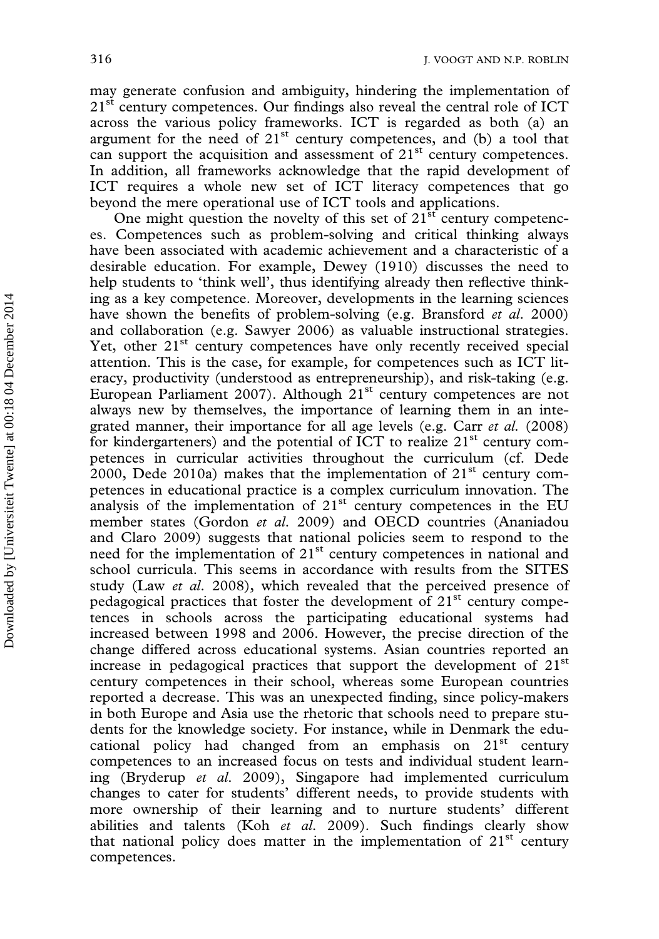may generate confusion and ambiguity, hindering the implementation of  $21<sup>st</sup>$  century competences. Our findings also reveal the central role of ICT across the various policy frameworks. ICT is regarded as both (a) an argument for the need of  $21<sup>st</sup>$  century competences, and (b) a tool that can support the acquisition and assessment of 21<sup>st</sup> century competences. In addition, all frameworks acknowledge that the rapid development of ICT requires a whole new set of ICT literacy competences that go beyond the mere operational use of ICT tools and applications.

One might question the novelty of this set of  $21<sup>st</sup>$  century competences. Competences such as problem-solving and critical thinking always have been associated with academic achievement and a characteristic of a desirable education. For example, Dewey (1910) discusses the need to help students to 'think well', thus identifying already then reflective thinking as a key competence. Moreover, developments in the learning sciences have shown the benefits of problem-solving (e.g. Bransford et al. 2000) and collaboration (e.g. Sawyer 2006) as valuable instructional strategies. Yet, other 21<sup>st</sup> century competences have only recently received special attention. This is the case, for example, for competences such as ICT literacy, productivity (understood as entrepreneurship), and risk-taking (e.g. European Parliament 2007). Although 21<sup>st</sup> century competences are not always new by themselves, the importance of learning them in an integrated manner, their importance for all age levels (e.g. Carr et al. (2008) for kindergarteners) and the potential of ICT to realize  $21<sup>st</sup>$  century competences in curricular activities throughout the curriculum (cf. Dede 2000, Dede 2010a) makes that the implementation of  $21<sup>st</sup>$  century competences in educational practice is a complex curriculum innovation. The analysis of the implementation of  $21<sup>st</sup>$  century competences in the EU member states (Gordon et al. 2009) and OECD countries (Ananiadou and Claro 2009) suggests that national policies seem to respond to the need for the implementation of 21<sup>st</sup> century competences in national and school curricula. This seems in accordance with results from the SITES study (Law et al. 2008), which revealed that the perceived presence of pedagogical practices that foster the development of 21<sup>st</sup> century competences in schools across the participating educational systems had increased between 1998 and 2006. However, the precise direction of the change differed across educational systems. Asian countries reported an increase in pedagogical practices that support the development of  $21<sup>st</sup>$ century competences in their school, whereas some European countries reported a decrease. This was an unexpected finding, since policy-makers in both Europe and Asia use the rhetoric that schools need to prepare students for the knowledge society. For instance, while in Denmark the educational policy had changed from an emphasis on  $21<sup>st</sup>$  century competences to an increased focus on tests and individual student learning (Bryderup et al. 2009), Singapore had implemented curriculum changes to cater for students' different needs, to provide students with more ownership of their learning and to nurture students' different abilities and talents (Koh et al. 2009). Such findings clearly show that national policy does matter in the implementation of  $21<sup>st</sup>$  century competences.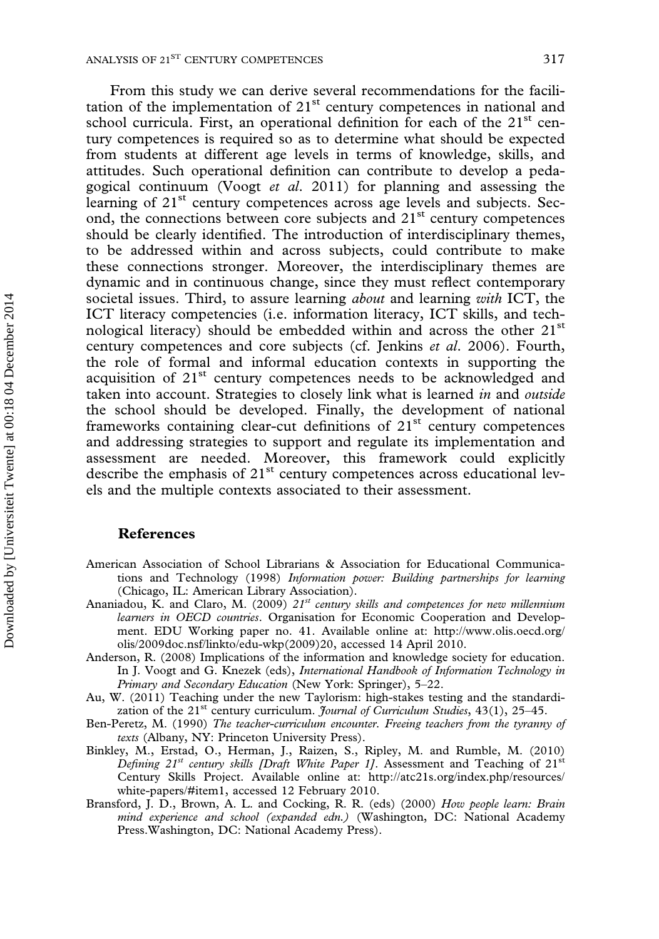From this study we can derive several recommendations for the facilitation of the implementation of  $21<sup>st</sup>$  century competences in national and school curricula. First, an operational definition for each of the  $21<sup>st</sup>$  century competences is required so as to determine what should be expected from students at different age levels in terms of knowledge, skills, and attitudes. Such operational definition can contribute to develop a pedagogical continuum (Voogt et al. 2011) for planning and assessing the learning of 21<sup>st</sup> century competences across age levels and subjects. Second, the connections between core subjects and 21<sup>st</sup> century competences should be clearly identified. The introduction of interdisciplinary themes, to be addressed within and across subjects, could contribute to make these connections stronger. Moreover, the interdisciplinary themes are dynamic and in continuous change, since they must reflect contemporary societal issues. Third, to assure learning *about* and learning with ICT, the ICT literacy competencies (i.e. information literacy, ICT skills, and technological literacy) should be embedded within and across the other  $21<sup>st</sup>$ century competences and core subjects (cf. Jenkins et al. 2006). Fourth, the role of formal and informal education contexts in supporting the acquisition of 21<sup>st</sup> century competences needs to be acknowledged and taken into account. Strategies to closely link what is learned in and outside the school should be developed. Finally, the development of national frameworks containing clear-cut definitions of  $21<sup>st</sup>$  century competences and addressing strategies to support and regulate its implementation and assessment are needed. Moreover, this framework could explicitly describe the emphasis of 21<sup>st</sup> century competences across educational levels and the multiple contexts associated to their assessment.

#### **References**

- American Association of School Librarians & Association for Educational Communications and Technology (1998) Information power: Building partnerships for learning (Chicago, IL: American Library Association).
- Ananiadou, K. and Claro, M. (2009)  $21^{st}$  century skills and competences for new millennium learners in OECD countries. Organisation for Economic Cooperation and Development. EDU Working paper no. 41. Available online at: [http://www.olis.oecd.org/](http://www.olis.oecd.org/olis/2009doc.nsf/linkto/edu-wkp(2009)20) [olis/2009doc.nsf/linkto/edu-wkp\(2009\)20,](http://www.olis.oecd.org/olis/2009doc.nsf/linkto/edu-wkp(2009)20) accessed 14 April 2010.
- Anderson, R. (2008) Implications of the information and knowledge society for education. In J. Voogt and G. Knezek (eds), International Handbook of Information Technology in Primary and Secondary Education (New York: Springer), 5–22.
- Au, W. (2011) Teaching under the new Taylorism: high-stakes testing and the standardization of the  $21^{st}$  century curriculum. *Journal of Curriculum Studies*,  $43(1)$ ,  $25-45$ .
- Ben-Peretz, M. (1990) The teacher-curriculum encounter. Freeing teachers from the tyranny of texts (Albany, NY: Princeton University Press).
- Binkley, M., Erstad, O., Herman, J., Raizen, S., Ripley, M. and Rumble, M. (2010) Defining 21<sup>st</sup> century skills [Draft White Paper 1]. Assessment and Teaching of 21<sup>st</sup> Century Skills Project. Available online at: [http://atc21s.org/index.php/resources/](http://atc21s.org/index.php/resources/white-papers/#item1) [white-papers/#item1,](http://atc21s.org/index.php/resources/white-papers/#item1) accessed 12 February 2010.
- Bransford, J. D., Brown, A. L. and Cocking, R. R. (eds) (2000) How people learn: Brain mind experience and school (expanded edn.) (Washington, DC: National Academy Press.Washington, DC: National Academy Press).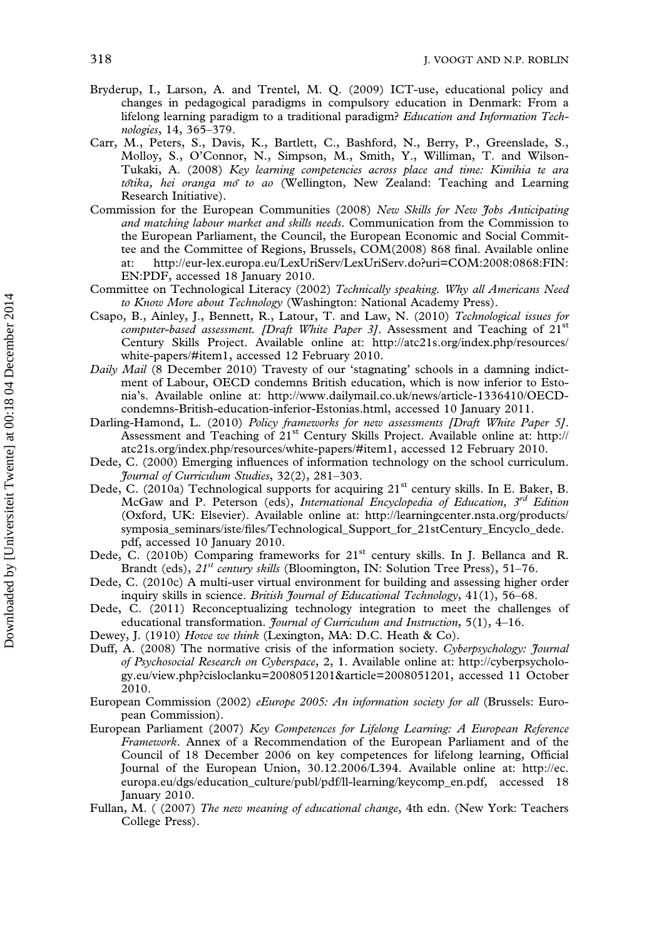- Bryderup, I., Larson, A. and Trentel, M. Q. (2009) ICT-use, educational policy and changes in pedagogical paradigms in compulsory education in Denmark: From a lifelong learning paradigm to a traditional paradigm? Education and Information Technologies, 14, 365–379.
- Carr, M., Peters, S., Davis, K., Bartlett, C., Bashford, N., Berry, P., Greenslade, S., Molloy, S., O'Connor, N., Simpson, M., Smith, Y., Williman, T. and Wilson-Tukaki, A. (2008) Key learning competencies across place and time: Kimihia te ara  $t\bar{o}t\bar{o}t\bar{o}a$ , hei oranga mo $\bar{o}$  to ao (Wellington, New Zealand: Teaching and Learning Research Initiative).
- Commission for the European Communities (2008) New Skills for New Jobs Anticipating and matching labour market and skills needs. Communication from the Commission to the European Parliament, the Council, the European Economic and Social Committee and the Committee of Regions, Brussels, COM(2008) 868 final. Available online at: [http://eur-lex.europa.eu/LexUriServ/LexUriServ.do?uri=COM:2008:0868:FIN:](http://eur-lex.europa.eu/LexUriServ/LexUriServ.do?uri=COM:2008:0868:FIN:EN:PDF) [EN:PDF](http://eur-lex.europa.eu/LexUriServ/LexUriServ.do?uri=COM:2008:0868:FIN:EN:PDF), accessed 18 January 2010.
- Committee on Technological Literacy (2002) Technically speaking. Why all Americans Need to Know More about Technology (Washington: National Academy Press).
- Csapo, B., Ainley, J., Bennett, R., Latour, T. and Law, N. (2010) Technological issues for computer-based assessment. [Draft White Paper 3]. Assessment and Teaching of  $21<sup>st</sup>$ Century Skills Project. Available online at: [http://atc21s.org/index.php/resources/](http://atc21s.org/index.php/resources/white-papers/#item1) [white-papers/#item1](http://atc21s.org/index.php/resources/white-papers/#item1), accessed 12 February 2010.
- Daily Mail (8 December 2010) Travesty of our 'stagnating' schools in a damning indictment of Labour, OECD condemns British education, which is now inferior to Estonia's. Available online at:<http://www.dailymail.co.uk/news/article-1336410/OECD>condemns-British-education-inferior-Estonias.html, accessed 10 January 2011.
- Darling-Hamond, L. (2010) Policy frameworks for new assessments [Draft White Paper 5]. Assessment and Teaching of 21st Century Skills Project. Available online at: [http://](http://atc21s.org/index.php/resources/white-papers/#item1) [atc21s.org/index.php/resources/white-papers/#item1,](http://atc21s.org/index.php/resources/white-papers/#item1) accessed 12 February 2010.
- Dede, C. (2000) Emerging influences of information technology on the school curriculum. Journal of Curriculum Studies, 32(2), 281–303.
- Dede, C. (2010a) Technological supports for acquiring  $21<sup>st</sup>$  century skills. In E. Baker, B. McGaw and P. Peterson (eds), International Encyclopedia of Education,  $3^{rd}$  Edition (Oxford, UK: Elsevier). Available online at: [http://learningcenter.nsta.org/products/](http://learningcenter.nsta.org/products/symposia_seminars/iste/files/Technological_Support_for_21stCentury_Encyclo_dede.pdf) [symposia\\_seminars/iste/files/Technological\\_Support\\_for\\_21stCentury\\_Encyclo\\_dede.](http://learningcenter.nsta.org/products/symposia_seminars/iste/files/Technological_Support_for_21stCentury_Encyclo_dede.pdf) [pdf,](http://learningcenter.nsta.org/products/symposia_seminars/iste/files/Technological_Support_for_21stCentury_Encyclo_dede.pdf) accessed 10 January 2010.
- Dede, C. (2010b) Comparing frameworks for  $21<sup>st</sup>$  century skills. In J. Bellanca and R. Brandt (eds),  $21^{st}$  century skills (Bloomington, IN: Solution Tree Press), 51–76.
- Dede, C. (2010c) A multi-user virtual environment for building and assessing higher order inquiry skills in science. British Journal of Educational Technology, 41(1), 56–68.
- Dede, C. (2011) Reconceptualizing technology integration to meet the challenges of educational transformation. Journal of Curriculum and Instruction, 5(1), 4-16.
- Dewey, J. (1910) Howe we think (Lexington, MA: D.C. Heath & Co).
- Duff, A. (2008) The normative crisis of the information society. Cyberpsychology: *Journal* of Psychosocial Research on Cyberspace, 2, 1. Available online at: [http://cyberpsycholo](http://cyberpsychology.eu/view.php?cisloclanku=2008051201&article=2008051201)[gy.eu/view.php?cisloclanku=2008051201&article=2008051201](http://cyberpsychology.eu/view.php?cisloclanku=2008051201&article=2008051201), accessed 11 October 2010.
- European Commission (2002) eEurope 2005: An information society for all (Brussels: European Commission).
- European Parliament (2007) Key Competences for Lifelong Learning: A European Reference Framework. Annex of a Recommendation of the European Parliament and of the Council of 18 December 2006 on key competences for lifelong learning, Official Journal of the European Union, 30.12.2006/L394. Available online at: [http://ec.](http://ec.europa.eu/dgs/education_culture/publ/pdf/ll-learning/keycomp_en.pdf) [europa.eu/dgs/education\\_culture/publ/pdf/ll-learning/keycomp\\_en.pdf,](http://ec.europa.eu/dgs/education_culture/publ/pdf/ll-learning/keycomp_en.pdf) accessed 18 January 2010.
- Fullan, M. ( (2007) The new meaning of educational change, 4th edn. (New York: Teachers College Press).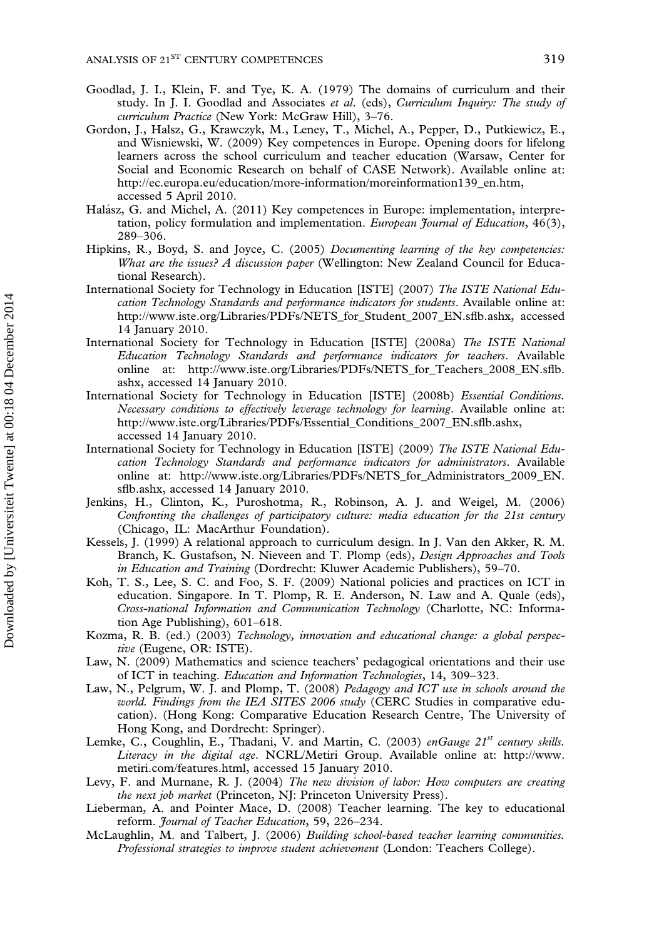- Goodlad, J. I., Klein, F. and Tye, K. A. (1979) The domains of curriculum and their study. In J. I. Goodlad and Associates et al. (eds), Curriculum Inquiry: The study of curriculum Practice (New York: McGraw Hill), 3–76.
- Gordon, J., Halsz, G., Krawczyk, M., Leney, T., Michel, A., Pepper, D., Putkiewicz, E., and Wisniewski, W. (2009) Key competences in Europe. Opening doors for lifelong learners across the school curriculum and teacher education (Warsaw, Center for Social and Economic Research on behalf of CASE Network). Available online at: [http://ec.europa.eu/education/more-information/moreinformation139\\_en.htm,](http://ec.europa.eu/education/more-information/moreinformation139_en.htm) accessed 5 April 2010.
- Halász, G. and Michel, A. (2011) Key competences in Europe: implementation, interpretation, policy formulation and implementation. European Journal of Education, 46(3), 289–306.
- Hipkins, R., Boyd, S. and Joyce, C. (2005) Documenting learning of the key competencies: What are the issues? A discussion paper (Wellington: New Zealand Council for Educational Research).
- International Society for Technology in Education [ISTE] (2007) The ISTE National Education Technology Standards and performance indicators for students. Available online at: [http://www.iste.org/Libraries/PDFs/NETS\\_for\\_Student\\_2007\\_EN.sflb.ashx,](http://www.iste.org/Libraries/PDFs/NETS_for_Student_2007_EN.sflb.ashx) accessed 14 January 2010.
- International Society for Technology in Education [ISTE] (2008a) The ISTE National Education Technology Standards and performance indicators for teachers. Available online at: [http://www.iste.org/Libraries/PDFs/NETS\\_for\\_Teachers\\_2008\\_EN.sflb.](http://www.iste.org/Libraries/PDFs/NETS_for_Teachers_2008_EN.sflb.ashx) [ashx](http://www.iste.org/Libraries/PDFs/NETS_for_Teachers_2008_EN.sflb.ashx), accessed 14 January 2010.
- International Society for Technology in Education [ISTE] (2008b) Essential Conditions. Necessary conditions to effectively leverage technology for learning. Available online at: [http://www.iste.org/Libraries/PDFs/Essential\\_Conditions\\_2007\\_EN.sflb.ashx,](http://www.iste.org/Libraries/PDFs/Essential_Conditions_2007_EN.sflb.ashx) accessed 14 January 2010.
- International Society for Technology in Education [ISTE] (2009) The ISTE National Education Technology Standards and performance indicators for administrators. Available online at: [http://www.iste.org/Libraries/PDFs/NETS\\_for\\_Administrators\\_2009\\_EN.](http://www.iste.org/Libraries/PDFs/NETS_for_Administrators_2009_EN.sflb.ashx) [sflb.ashx,](http://www.iste.org/Libraries/PDFs/NETS_for_Administrators_2009_EN.sflb.ashx) accessed 14 January 2010.
- Jenkins, H., Clinton, K., Puroshotma, R., Robinson, A. J. and Weigel, M. (2006) Confronting the challenges of participatory culture: media education for the 21st century (Chicago, IL: MacArthur Foundation).
- Kessels, J. (1999) A relational approach to curriculum design. In J. Van den Akker, R. M. Branch, K. Gustafson, N. Nieveen and T. Plomp (eds), Design Approaches and Tools in Education and Training (Dordrecht: Kluwer Academic Publishers), 59–70.
- Koh, T. S., Lee, S. C. and Foo, S. F. (2009) National policies and practices on ICT in education. Singapore. In T. Plomp, R. E. Anderson, N. Law and A. Quale (eds), Cross-national Information and Communication Technology (Charlotte, NC: Information Age Publishing), 601–618.
- Kozma, R. B. (ed.) (2003) Technology, innovation and educational change: a global perspective (Eugene, OR: ISTE).
- Law, N. (2009) Mathematics and science teachers' pedagogical orientations and their use of ICT in teaching. Education and Information Technologies, 14, 309–323.
- Law, N., Pelgrum, W. J. and Plomp, T. (2008) Pedagogy and ICT use in schools around the world. Findings from the IEA SITES 2006 study (CERC Studies in comparative education). (Hong Kong: Comparative Education Research Centre, The University of Hong Kong, and Dordrecht: Springer).
- Lemke, C., Coughlin, E., Thadani, V. and Martin, C. (2003) enGauge 21st century skills. Literacy in the digital age. NCRL/Metiri Group. Available online at: [http://www.](http://www.metiri.com/features.html) [metiri.com/features.html](http://www.metiri.com/features.html), accessed 15 January 2010.
- Levy, F. and Murnane, R. J. (2004) The new division of labor: How computers are creating the next job market (Princeton, NJ: Princeton University Press).
- Lieberman, A. and Pointer Mace, D. (2008) Teacher learning. The key to educational reform. Journal of Teacher Education, 59, 226–234.
- McLaughlin, M. and Talbert, J. (2006) Building school-based teacher learning communities. Professional strategies to improve student achievement (London: Teachers College).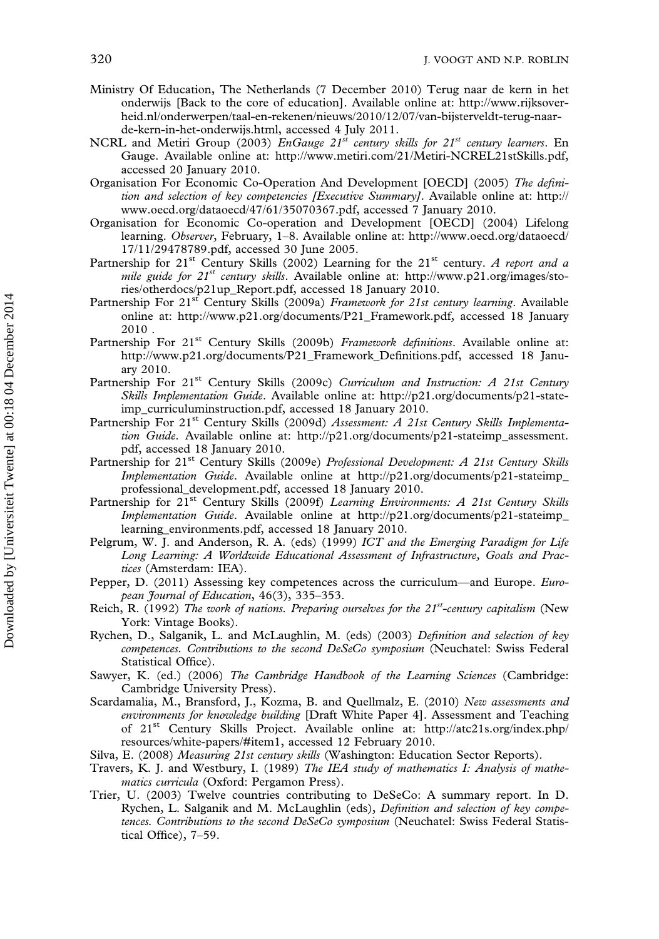- Ministry Of Education, The Netherlands (7 December 2010) Terug naar de kern in het onderwijs [Back to the core of education]. Available online at: [http://www.rijksover](http://www.rijksoverheid.nl/onderwerpen/taal-en-rekenen/nieuws/2010/12/07/van-bijsterveldt-terug-naar-de-kern-in-het-onderwijs.html)[heid.nl/onderwerpen/taal-en-rekenen/nieuws/2010/12/07/van-bijsterveldt-terug-naar](http://www.rijksoverheid.nl/onderwerpen/taal-en-rekenen/nieuws/2010/12/07/van-bijsterveldt-terug-naar-de-kern-in-het-onderwijs.html)[de-kern-in-het-onderwijs.html,](http://www.rijksoverheid.nl/onderwerpen/taal-en-rekenen/nieuws/2010/12/07/van-bijsterveldt-terug-naar-de-kern-in-het-onderwijs.html) accessed 4 July 2011.
- NCRL and Metiri Group (2003) EnGauge  $21^{st}$  century skills for  $21^{st}$  century learners. En Gauge. Available online at:<http://www.metiri.com/21/Metiri-NCREL21stSkills.pdf>, accessed 20 January 2010.
- Organisation For Economic Co-Operation And Development [OECD] (2005) The definition and selection of key competencies [Executive Summary]. Available online at: [http://](http://www.oecd.org/dataoecd/47/61/35070367.pdf) [www.oecd.org/dataoecd/47/61/35070367.pdf,](http://www.oecd.org/dataoecd/47/61/35070367.pdf) accessed 7 January 2010.
- Organisation for Economic Co-operation and Development [OECD] (2004) Lifelong learning. Observer, February, 1–8. Available online at: [http://www.oecd.org/dataoecd/](http://www.oecd.org/dataoecd/17/11/29478789.pdf) [17/11/29478789.pdf,](http://www.oecd.org/dataoecd/17/11/29478789.pdf) accessed 30 June 2005.
- Partnership for 21<sup>st</sup> Century Skills (2002) Learning for the 21<sup>st</sup> century. A report and a mile guide for 21<sup>st</sup> century skills. Available online at: [http://www.p21.org/images/sto](http://www.p21.org/images/stories/otherdocs/p21up_Report.pdf)[ries/otherdocs/p21up\\_Report.pdf,](http://www.p21.org/images/stories/otherdocs/p21up_Report.pdf) accessed 18 January 2010.
- Partnership For 21<sup>st</sup> Century Skills (2009a) Framework for 21st century learning. Available online at: [http://www.p21.org/documents/P21\\_Framework.pdf,](http://www.p21.org/documents/P21_Framework.pdf) accessed 18 January 2010 .
- Partnership For 21<sup>st</sup> Century Skills (2009b) Framework definitions. Available online at: [http://www.p21.org/documents/P21\\_Framework\\_Definitions.pdf](http://www.p21.org/documents/P21_Framework_Definitions.pdf), accessed 18 January 2010.
- Partnership For 21st Century Skills (2009c) Curriculum and Instruction: A 21st Century Skills Implementation Guide. Available online at: [http://p21.org/documents/p21-state](http://p21.org/documents/p21-stateimp_curriculuminstruction.pdf)[imp\\_curriculuminstruction.pdf](http://p21.org/documents/p21-stateimp_curriculuminstruction.pdf), accessed 18 January 2010.
- Partnership For 21<sup>st</sup> Century Skills (2009d) Assessment: A 21st Century Skills Implementation Guide. Available online at: [http://p21.org/documents/p21-stateimp\\_assessment.](http://p21.org/documents/p21-stateimp_assessment.pdf) [pdf,](http://p21.org/documents/p21-stateimp_assessment.pdf) accessed 18 January 2010.
- Partnership for 21<sup>st</sup> Century Skills (2009e) Professional Development: A 21st Century Skills Implementation Guide. Available online at [http://p21.org/documents/p21-stateimp\\_](http://p21.org/documents/p21-stateimp_professional_development.pdf) [professional\\_development.pdf,](http://p21.org/documents/p21-stateimp_professional_development.pdf) accessed 18 January 2010.
- Partnership for 21<sup>st</sup> Century Skills (2009f) Learning Environments: A 21st Century Skills Implementation Guide. Available online at [http://p21.org/documents/p21-stateimp\\_](http://p21.org/documents/p21-stateimp_learning_environments.pdf) [learning\\_environments.pdf](http://p21.org/documents/p21-stateimp_learning_environments.pdf), accessed 18 January 2010.
- Pelgrum, W. J. and Anderson, R. A. (eds) (1999) ICT and the Emerging Paradigm for Life Long Learning: A Worldwide Educational Assessment of Infrastructure, Goals and Practices (Amsterdam: IEA).
- Pepper, D. (2011) Assessing key competences across the curriculum—and Europe. European Journal of Education, 46(3), 335–353.
- Reich, R. (1992) The work of nations. Preparing ourselves for the  $21^{st}$ -century capitalism (New York: Vintage Books).
- Rychen, D., Salganik, L. and McLaughlin, M. (eds) (2003) Definition and selection of key competences. Contributions to the second DeSeCo symposium (Neuchatel: Swiss Federal Statistical Office).
- Sawyer, K. (ed.) (2006) The Cambridge Handbook of the Learning Sciences (Cambridge: Cambridge University Press).
- Scardamalia, M., Bransford, J., Kozma, B. and Quellmalz, E. (2010) New assessments and environments for knowledge building [Draft White Paper 4]. Assessment and Teaching of 21st Century Skills Project. Available online at: [http://atc21s.org/index.php/](http://atc21s.org/index.php/resources/white-papers/#item1) [resources/white-papers/#item1](http://atc21s.org/index.php/resources/white-papers/#item1), accessed 12 February 2010.
- Silva, E. (2008) Measuring 21st century skills (Washington: Education Sector Reports).
- Travers, K. J. and Westbury, I. (1989) The IEA study of mathematics I: Analysis of mathematics curricula (Oxford: Pergamon Press).
- Trier, U. (2003) Twelve countries contributing to DeSeCo: A summary report. In D. Rychen, L. Salganik and M. McLaughlin (eds), Definition and selection of key competences. Contributions to the second DeSeCo symposium (Neuchatel: Swiss Federal Statistical Office), 7–59.